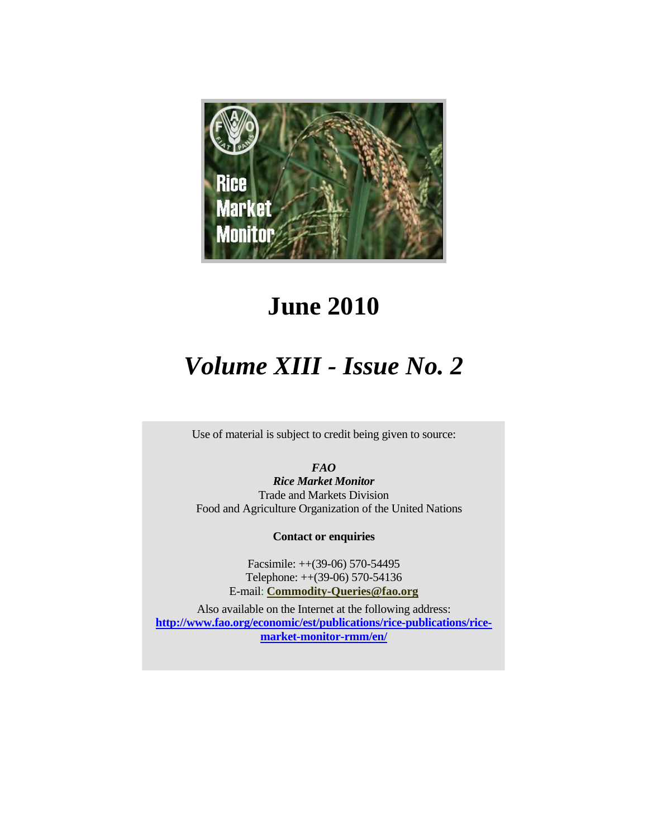

# **June 2010**

# *Volume XIII - Issue No. 2*

Use of material is subject to credit being given to source:

*FAO* 

*Rice Market Monitor*  Trade and Markets Division Food and Agriculture Organization of the United Nations

**Contact or enquiries**

Facsimile: ++(39-06) 570-54495 Telephone: ++(39-06) 570-54136 E-mail: **Commodity-Queries@fao.org**

Also available on the Internet at the following address: **http://www.fao.org/economic/est/publications/rice-publications/ricemarket-monitor-rmm/en/**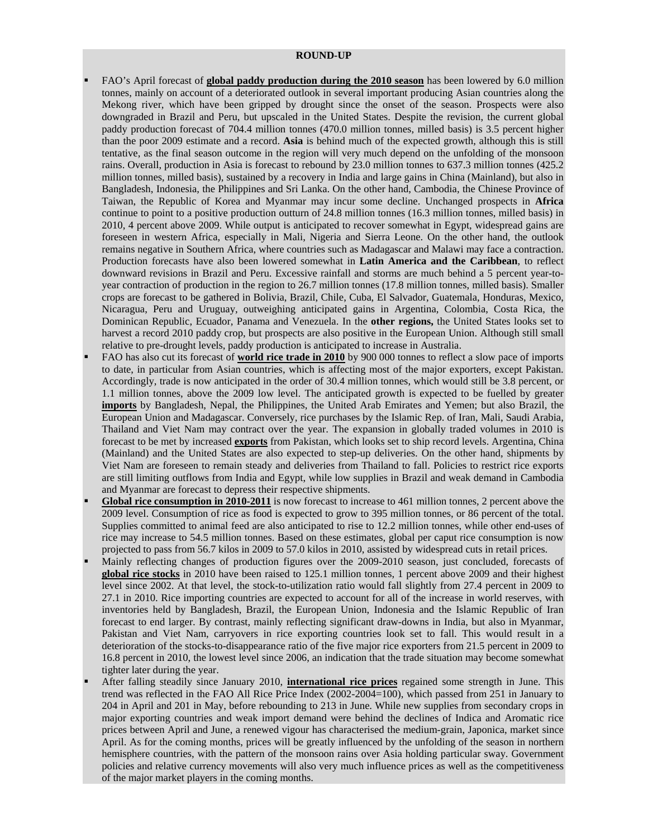#### **ROUND-UP**

- FAO's April forecast of **global paddy production during the 2010 season** has been lowered by 6.0 million tonnes, mainly on account of a deteriorated outlook in several important producing Asian countries along the Mekong river, which have been gripped by drought since the onset of the season. Prospects were also downgraded in Brazil and Peru, but upscaled in the United States. Despite the revision, the current global paddy production forecast of 704.4 million tonnes (470.0 million tonnes, milled basis) is 3.5 percent higher than the poor 2009 estimate and a record. **Asia** is behind much of the expected growth, although this is still tentative, as the final season outcome in the region will very much depend on the unfolding of the monsoon rains. Overall, production in Asia is forecast to rebound by 23.0 million tonnes to 637.3 million tonnes (425.2 million tonnes, milled basis), sustained by a recovery in India and large gains in China (Mainland), but also in Bangladesh, Indonesia, the Philippines and Sri Lanka. On the other hand, Cambodia, the Chinese Province of Taiwan, the Republic of Korea and Myanmar may incur some decline. Unchanged prospects in **Africa**  continue to point to a positive production outturn of 24.8 million tonnes (16.3 million tonnes, milled basis) in 2010, 4 percent above 2009. While output is anticipated to recover somewhat in Egypt, widespread gains are foreseen in western Africa, especially in Mali, Nigeria and Sierra Leone. On the other hand, the outlook remains negative in Southern Africa, where countries such as Madagascar and Malawi may face a contraction. Production forecasts have also been lowered somewhat in **Latin America and the Caribbean**, to reflect downward revisions in Brazil and Peru. Excessive rainfall and storms are much behind a 5 percent year-toyear contraction of production in the region to 26.7 million tonnes (17.8 million tonnes, milled basis). Smaller crops are forecast to be gathered in Bolivia, Brazil, Chile, Cuba, El Salvador, Guatemala, Honduras, Mexico, Nicaragua, Peru and Uruguay, outweighing anticipated gains in Argentina, Colombia, Costa Rica, the Dominican Republic, Ecuador, Panama and Venezuela. In the **other regions,** the United States looks set to harvest a record 2010 paddy crop, but prospects are also positive in the European Union. Although still small relative to pre-drought levels, paddy production is anticipated to increase in Australia.
- FAO has also cut its forecast of **world rice trade in 2010** by 900 000 tonnes to reflect a slow pace of imports to date, in particular from Asian countries, which is affecting most of the major exporters, except Pakistan. Accordingly, trade is now anticipated in the order of 30.4 million tonnes, which would still be 3.8 percent, or 1.1 million tonnes, above the 2009 low level. The anticipated growth is expected to be fuelled by greater **imports** by Bangladesh, Nepal, the Philippines, the United Arab Emirates and Yemen; but also Brazil, the European Union and Madagascar. Conversely, rice purchases by the Islamic Rep. of Iran, Mali, Saudi Arabia, Thailand and Viet Nam may contract over the year. The expansion in globally traded volumes in 2010 is forecast to be met by increased **exports** from Pakistan, which looks set to ship record levels. Argentina, China (Mainland) and the United States are also expected to step-up deliveries. On the other hand, shipments by Viet Nam are foreseen to remain steady and deliveries from Thailand to fall. Policies to restrict rice exports are still limiting outflows from India and Egypt, while low supplies in Brazil and weak demand in Cambodia and Myanmar are forecast to depress their respective shipments.
- **Global rice consumption in 2010-2011** is now forecast to increase to 461 million tonnes, 2 percent above the 2009 level. Consumption of rice as food is expected to grow to 395 million tonnes, or 86 percent of the total. Supplies committed to animal feed are also anticipated to rise to 12.2 million tonnes, while other end-uses of rice may increase to 54.5 million tonnes. Based on these estimates, global per caput rice consumption is now projected to pass from 56.7 kilos in 2009 to 57.0 kilos in 2010, assisted by widespread cuts in retail prices.
- Mainly reflecting changes of production figures over the 2009-2010 season, just concluded, forecasts of **global rice stocks** in 2010 have been raised to 125.1 million tonnes, 1 percent above 2009 and their highest level since 2002. At that level, the stock-to-utilization ratio would fall slightly from 27.4 percent in 2009 to 27.1 in 2010. Rice importing countries are expected to account for all of the increase in world reserves, with inventories held by Bangladesh, Brazil, the European Union, Indonesia and the Islamic Republic of Iran forecast to end larger. By contrast, mainly reflecting significant draw-downs in India, but also in Myanmar, Pakistan and Viet Nam, carryovers in rice exporting countries look set to fall. This would result in a deterioration of the stocks-to-disappearance ratio of the five major rice exporters from 21.5 percent in 2009 to 16.8 percent in 2010, the lowest level since 2006, an indication that the trade situation may become somewhat tighter later during the year.
- After falling steadily since January 2010, **international rice prices** regained some strength in June. This trend was reflected in the FAO All Rice Price Index (2002-2004=100), which passed from 251 in January to 204 in April and 201 in May, before rebounding to 213 in June. While new supplies from secondary crops in major exporting countries and weak import demand were behind the declines of Indica and Aromatic rice prices between April and June, a renewed vigour has characterised the medium-grain, Japonica, market since April. As for the coming months, prices will be greatly influenced by the unfolding of the season in northern hemisphere countries, with the pattern of the monsoon rains over Asia holding particular sway. Government policies and relative currency movements will also very much influence prices as well as the competitiveness of the major market players in the coming months.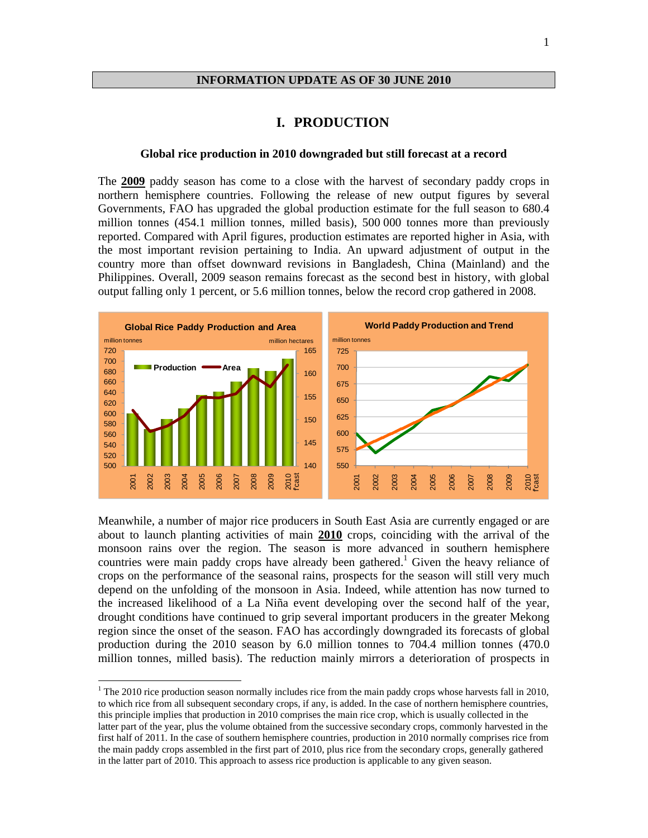#### **INFORMATION UPDATE AS OF 30 JUNE 2010**

#### **I. PRODUCTION**

#### **Global rice production in 2010 downgraded but still forecast at a record**

The **2009** paddy season has come to a close with the harvest of secondary paddy crops in northern hemisphere countries. Following the release of new output figures by several Governments, FAO has upgraded the global production estimate for the full season to 680.4 million tonnes (454.1 million tonnes, milled basis), 500 000 tonnes more than previously reported. Compared with April figures, production estimates are reported higher in Asia, with the most important revision pertaining to India. An upward adjustment of output in the country more than offset downward revisions in Bangladesh, China (Mainland) and the Philippines. Overall, 2009 season remains forecast as the second best in history, with global output falling only 1 percent, or 5.6 million tonnes, below the record crop gathered in 2008.



Meanwhile, a number of major rice producers in South East Asia are currently engaged or are about to launch planting activities of main **2010** crops, coinciding with the arrival of the monsoon rains over the region. The season is more advanced in southern hemisphere countries were main paddy crops have already been gathered.<sup>1</sup> Given the heavy reliance of crops on the performance of the seasonal rains, prospects for the season will still very much depend on the unfolding of the monsoon in Asia. Indeed, while attention has now turned to the increased likelihood of a La Niña event developing over the second half of the year, drought conditions have continued to grip several important producers in the greater Mekong region since the onset of the season. FAO has accordingly downgraded its forecasts of global production during the 2010 season by 6.0 million tonnes to 704.4 million tonnes (470.0 million tonnes, milled basis). The reduction mainly mirrors a deterioration of prospects in

 $\overline{a}$ 

 $1$ <sup>1</sup> The 2010 rice production season normally includes rice from the main paddy crops whose harvests fall in 2010, to which rice from all subsequent secondary crops, if any, is added. In the case of northern hemisphere countries, this principle implies that production in 2010 comprises the main rice crop, which is usually collected in the latter part of the year, plus the volume obtained from the successive secondary crops, commonly harvested in the first half of 2011. In the case of southern hemisphere countries, production in 2010 normally comprises rice from the main paddy crops assembled in the first part of 2010, plus rice from the secondary crops, generally gathered in the latter part of 2010. This approach to assess rice production is applicable to any given season.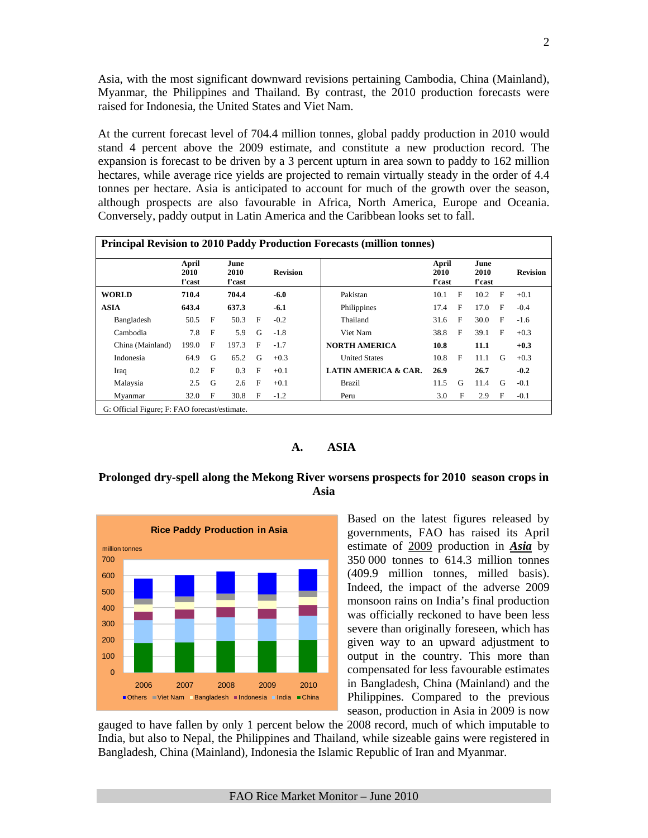Asia, with the most significant downward revisions pertaining Cambodia, China (Mainland), Myanmar, the Philippines and Thailand. By contrast, the 2010 production forecasts were raised for Indonesia, the United States and Viet Nam.

At the current forecast level of 704.4 million tonnes, global paddy production in 2010 would stand 4 percent above the 2009 estimate, and constitute a new production record. The expansion is forecast to be driven by a 3 percent upturn in area sown to paddy to 162 million hectares, while average rice yields are projected to remain virtually steady in the order of 4.4 tonnes per hectare. Asia is anticipated to account for much of the growth over the season, although prospects are also favourable in Africa, North America, Europe and Oceania. Conversely, paddy output in Latin America and the Caribbean looks set to fall.

|                  | April<br>2010<br>f'cast |              | June<br>2010<br>f'cast |              | <b>Revision</b> |                                 | April<br>2010<br>f'cast |              | June<br>2010<br>f'cast |              | <b>Revision</b> |
|------------------|-------------------------|--------------|------------------------|--------------|-----------------|---------------------------------|-------------------------|--------------|------------------------|--------------|-----------------|
| <b>WORLD</b>     | 710.4                   |              | 704.4                  |              | $-6.0$          | Pakistan                        | 10.1                    | F            | 10.2                   | $\mathbf{F}$ | $+0.1$          |
| <b>ASIA</b>      | 643.4                   |              | 637.3                  |              | $-6.1$          | Philippines                     | 17.4                    | F            | 17.0                   | F            | $-0.4$          |
| Bangladesh       | 50.5                    | $\mathbf{F}$ | 50.3                   | $\mathbf{F}$ | $-0.2$          | Thailand                        | 31.6                    | $\mathbf{F}$ | 30.0                   | $\mathbf{F}$ | $-1.6$          |
| Cambodia         | 7.8                     | F            | 5.9                    | G            | $-1.8$          | Viet Nam                        | 38.8                    | $\mathbf{F}$ | 39.1                   | E            | $+0.3$          |
| China (Mainland) | 199.0                   | F            | 197.3                  | $_{\rm F}$   | $-1.7$          | <b>NORTH AMERICA</b>            | 10.8                    |              | 11.1                   |              | $+0.3$          |
| Indonesia        | 64.9                    | G            | 65.2                   | G            | $+0.3$          | <b>United States</b>            | 10.8                    | E            | 11.1                   | G            | $+0.3$          |
| Iraq             | 0.2                     | $\mathbf{F}$ | 0.3                    | $_{\rm F}$   | $+0.1$          | <b>LATIN AMERICA &amp; CAR.</b> | 26.9                    |              | 26.7                   |              | $-0.2$          |
| Malaysia         | 2.5                     | G            | 2.6                    | F            | $+0.1$          | <b>Brazil</b>                   | 11.5                    | G            | 11.4                   | G            | $-0.1$          |
| Myanmar          | 32.0                    | F            | 30.8                   | F            | $-1.2$          | Peru                            | 3.0                     | F            | 2.9                    | F            | $-0.1$          |

#### **A. ASIA**

#### **Prolonged dry-spell along the Mekong River worsens prospects for 2010 season crops in Asia**



Based on the latest figures released by governments, FAO has raised its April estimate of 2009 production in *Asia* by 350 000 tonnes to 614.3 million tonnes (409.9 million tonnes, milled basis). Indeed, the impact of the adverse 2009 monsoon rains on India's final production was officially reckoned to have been less severe than originally foreseen, which has given way to an upward adjustment to output in the country. This more than compensated for less favourable estimates in Bangladesh, China (Mainland) and the Philippines. Compared to the previous season, production in Asia in 2009 is now

gauged to have fallen by only 1 percent below the 2008 record, much of which imputable to India, but also to Nepal, the Philippines and Thailand, while sizeable gains were registered in Bangladesh, China (Mainland), Indonesia the Islamic Republic of Iran and Myanmar.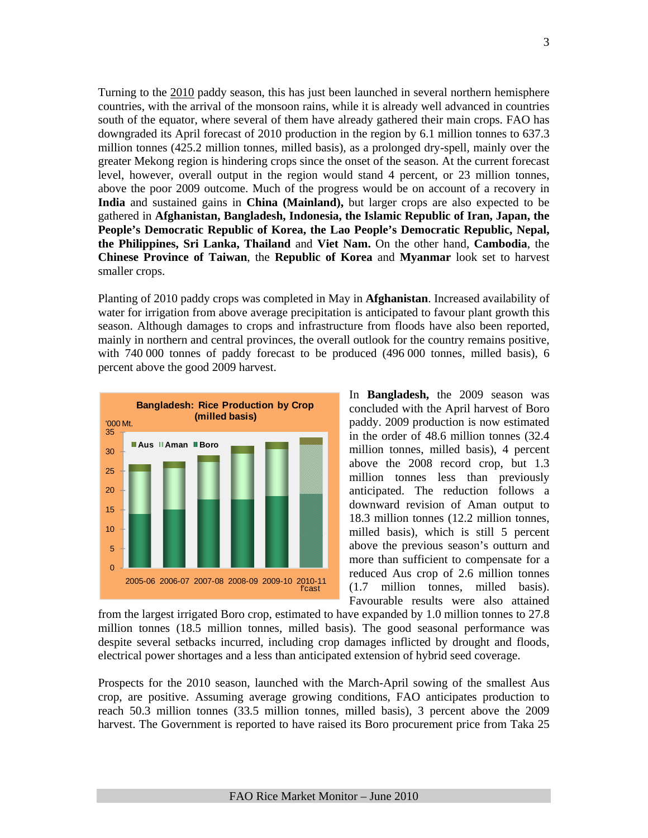Turning to the 2010 paddy season, this has just been launched in several northern hemisphere countries, with the arrival of the monsoon rains, while it is already well advanced in countries south of the equator, where several of them have already gathered their main crops. FAO has downgraded its April forecast of 2010 production in the region by 6.1 million tonnes to 637.3 million tonnes (425.2 million tonnes, milled basis), as a prolonged dry-spell, mainly over the greater Mekong region is hindering crops since the onset of the season. At the current forecast level, however, overall output in the region would stand 4 percent, or 23 million tonnes, above the poor 2009 outcome. Much of the progress would be on account of a recovery in **India** and sustained gains in **China (Mainland),** but larger crops are also expected to be gathered in **Afghanistan, Bangladesh, Indonesia, the Islamic Republic of Iran, Japan, the People's Democratic Republic of Korea, the Lao People's Democratic Republic, Nepal, the Philippines, Sri Lanka, Thailand** and **Viet Nam.** On the other hand, **Cambodia**, the **Chinese Province of Taiwan**, the **Republic of Korea** and **Myanmar** look set to harvest smaller crops.

Planting of 2010 paddy crops was completed in May in **Afghanistan**. Increased availability of water for irrigation from above average precipitation is anticipated to favour plant growth this season. Although damages to crops and infrastructure from floods have also been reported, mainly in northern and central provinces, the overall outlook for the country remains positive, with 740 000 tonnes of paddy forecast to be produced (496 000 tonnes, milled basis), 6 percent above the good 2009 harvest.



In **Bangladesh,** the 2009 season was concluded with the April harvest of Boro paddy. 2009 production is now estimated in the order of 48.6 million tonnes (32.4 million tonnes, milled basis), 4 percent above the 2008 record crop, but 1.3 million tonnes less than previously anticipated. The reduction follows a downward revision of Aman output to 18.3 million tonnes (12.2 million tonnes, milled basis), which is still 5 percent above the previous season's outturn and more than sufficient to compensate for a reduced Aus crop of 2.6 million tonnes (1.7 million tonnes, milled basis). Favourable results were also attained

from the largest irrigated Boro crop, estimated to have expanded by 1.0 million tonnes to 27.8 million tonnes (18.5 million tonnes, milled basis). The good seasonal performance was despite several setbacks incurred, including crop damages inflicted by drought and floods, electrical power shortages and a less than anticipated extension of hybrid seed coverage.

Prospects for the 2010 season, launched with the March-April sowing of the smallest Aus crop, are positive. Assuming average growing conditions, FAO anticipates production to reach 50.3 million tonnes (33.5 million tonnes, milled basis), 3 percent above the 2009 harvest. The Government is reported to have raised its Boro procurement price from Taka 25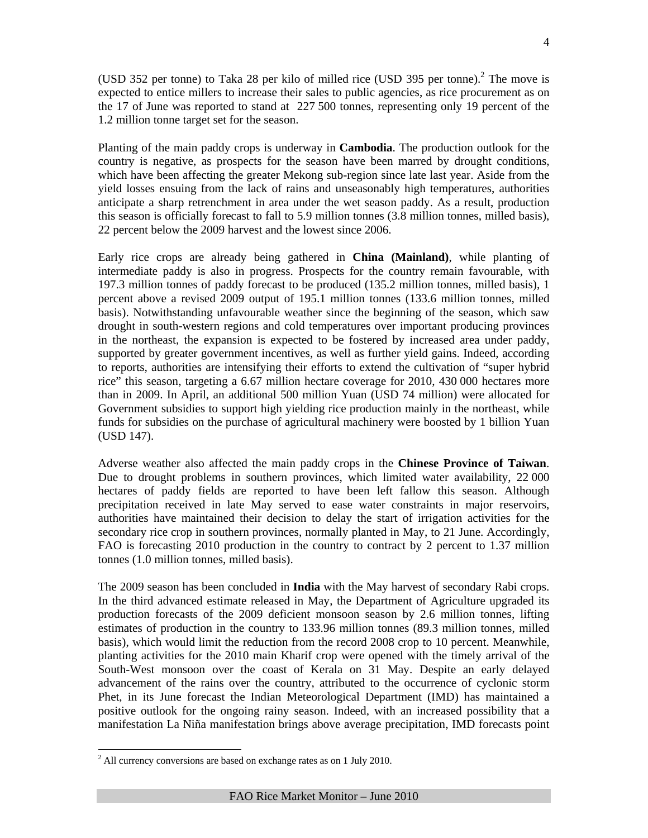(USD 352 per tonne) to Taka 28 per kilo of milled rice (USD 395 per tonne).<sup>2</sup> The move is expected to entice millers to increase their sales to public agencies, as rice procurement as on the 17 of June was reported to stand at 227 500 tonnes, representing only 19 percent of the 1.2 million tonne target set for the season.

Planting of the main paddy crops is underway in **Cambodia**. The production outlook for the country is negative, as prospects for the season have been marred by drought conditions, which have been affecting the greater Mekong sub-region since late last year. Aside from the yield losses ensuing from the lack of rains and unseasonably high temperatures, authorities anticipate a sharp retrenchment in area under the wet season paddy. As a result, production this season is officially forecast to fall to 5.9 million tonnes (3.8 million tonnes, milled basis), 22 percent below the 2009 harvest and the lowest since 2006.

Early rice crops are already being gathered in **China (Mainland)**, while planting of intermediate paddy is also in progress. Prospects for the country remain favourable, with 197.3 million tonnes of paddy forecast to be produced (135.2 million tonnes, milled basis), 1 percent above a revised 2009 output of 195.1 million tonnes (133.6 million tonnes, milled basis). Notwithstanding unfavourable weather since the beginning of the season, which saw drought in south-western regions and cold temperatures over important producing provinces in the northeast, the expansion is expected to be fostered by increased area under paddy, supported by greater government incentives, as well as further yield gains. Indeed, according to reports, authorities are intensifying their efforts to extend the cultivation of "super hybrid rice" this season, targeting a 6.67 million hectare coverage for 2010, 430 000 hectares more than in 2009. In April, an additional 500 million Yuan (USD 74 million) were allocated for Government subsidies to support high yielding rice production mainly in the northeast, while funds for subsidies on the purchase of agricultural machinery were boosted by 1 billion Yuan (USD 147).

Adverse weather also affected the main paddy crops in the **Chinese Province of Taiwan**. Due to drought problems in southern provinces, which limited water availability, 22 000 hectares of paddy fields are reported to have been left fallow this season. Although precipitation received in late May served to ease water constraints in major reservoirs, authorities have maintained their decision to delay the start of irrigation activities for the secondary rice crop in southern provinces, normally planted in May, to 21 June. Accordingly, FAO is forecasting 2010 production in the country to contract by 2 percent to 1.37 million tonnes (1.0 million tonnes, milled basis).

The 2009 season has been concluded in **India** with the May harvest of secondary Rabi crops. In the third advanced estimate released in May, the Department of Agriculture upgraded its production forecasts of the 2009 deficient monsoon season by 2.6 million tonnes, lifting estimates of production in the country to 133.96 million tonnes (89.3 million tonnes, milled basis), which would limit the reduction from the record 2008 crop to 10 percent. Meanwhile, planting activities for the 2010 main Kharif crop were opened with the timely arrival of the South-West monsoon over the coast of Kerala on 31 May. Despite an early delayed advancement of the rains over the country, attributed to the occurrence of cyclonic storm Phet, in its June forecast the Indian Meteorological Department (IMD) has maintained a positive outlook for the ongoing rainy season. Indeed, with an increased possibility that a manifestation La Niña manifestation brings above average precipitation, IMD forecasts point

 $\overline{a}$ 

 $2<sup>2</sup>$  All currency conversions are based on exchange rates as on 1 July 2010.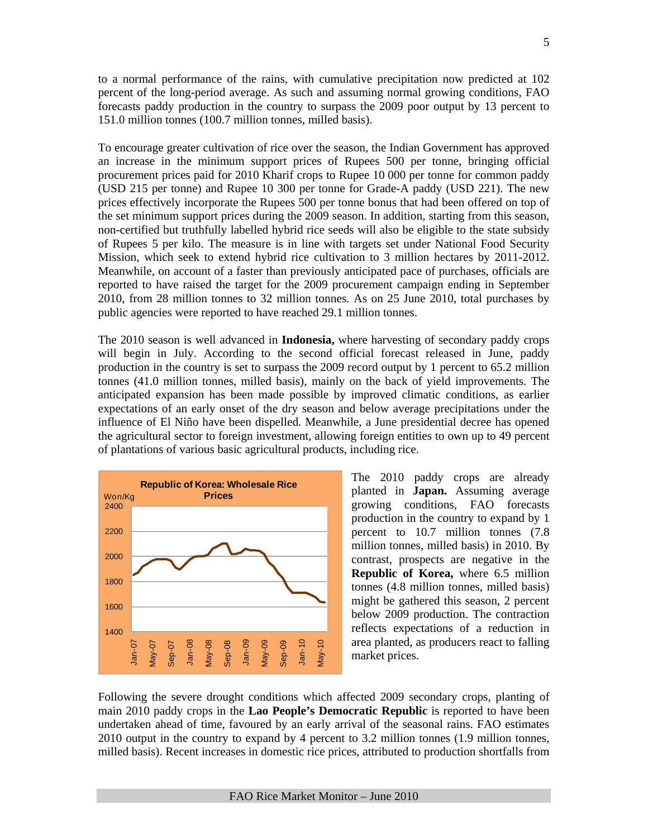to a normal performance of the rains, with cumulative precipitation now predicted at 102 percent of the long-period average. As such and assuming normal growing conditions, FAO forecasts paddy production in the country to surpass the 2009 poor output by 13 percent to 151.0 million tonnes (100.7 million tonnes, milled basis).

To encourage greater cultivation of rice over the season, the Indian Government has approved an increase in the minimum support prices of Rupees 500 per tonne, bringing official procurement prices paid for 2010 Kharif crops to Rupee 10 000 per tonne for common paddy (USD 215 per tonne) and Rupee 10 300 per tonne for Grade-A paddy (USD 221). The new prices effectively incorporate the Rupees 500 per tonne bonus that had been offered on top of the set minimum support prices during the 2009 season. In addition, starting from this season, non-certified but truthfully labelled hybrid rice seeds will also be eligible to the state subsidy of Rupees 5 per kilo. The measure is in line with targets set under National Food Security Mission, which seek to extend hybrid rice cultivation to 3 million hectares by 2011-2012. Meanwhile, on account of a faster than previously anticipated pace of purchases, officials are reported to have raised the target for the 2009 procurement campaign ending in September 2010, from 28 million tonnes to 32 million tonnes. As on 25 June 2010, total purchases by public agencies were reported to have reached 29.1 million tonnes.

The 2010 season is well advanced in **Indonesia,** where harvesting of secondary paddy crops will begin in July. According to the second official forecast released in June, paddy production in the country is set to surpass the 2009 record output by 1 percent to 65.2 million tonnes (41.0 million tonnes, milled basis), mainly on the back of yield improvements. The anticipated expansion has been made possible by improved climatic conditions, as earlier expectations of an early onset of the dry season and below average precipitations under the influence of El Niño have been dispelled. Meanwhile, a June presidential decree has opened the agricultural sector to foreign investment, allowing foreign entities to own up to 49 percent of plantations of various basic agricultural products, including rice.



The 2010 paddy crops are already planted in **Japan.** Assuming average growing conditions, FAO forecasts production in the country to expand by 1 percent to 10.7 million tonnes (7.8 million tonnes, milled basis) in 2010. By contrast, prospects are negative in the **Republic of Korea,** where 6.5 million tonnes (4.8 million tonnes, milled basis) might be gathered this season, 2 percent below 2009 production. The contraction reflects expectations of a reduction in area planted, as producers react to falling market prices.

Following the severe drought conditions which affected 2009 secondary crops, planting of main 2010 paddy crops in the **Lao People's Democratic Republic** is reported to have been undertaken ahead of time, favoured by an early arrival of the seasonal rains. FAO estimates 2010 output in the country to expand by 4 percent to 3.2 million tonnes (1.9 million tonnes, milled basis). Recent increases in domestic rice prices, attributed to production shortfalls from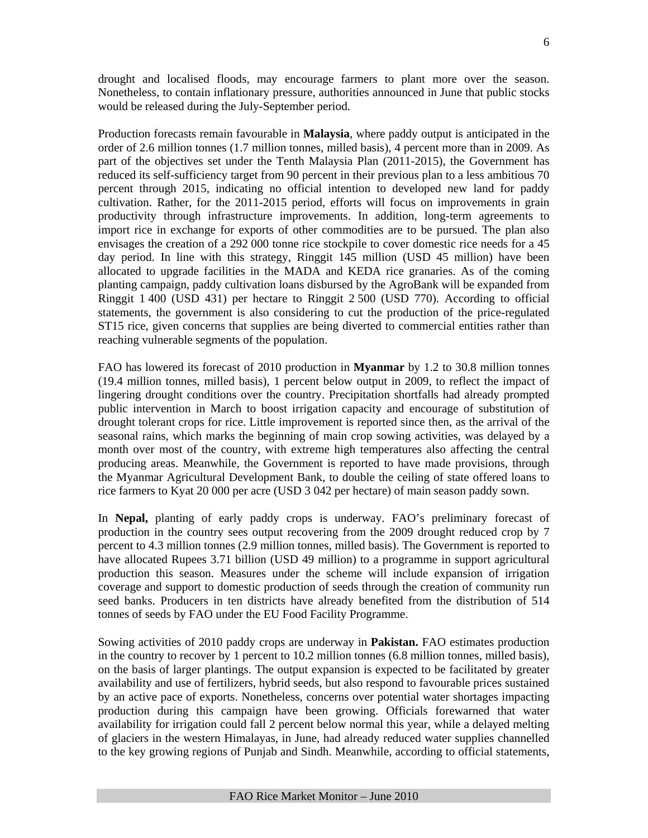drought and localised floods, may encourage farmers to plant more over the season. Nonetheless, to contain inflationary pressure, authorities announced in June that public stocks would be released during the July-September period.

Production forecasts remain favourable in **Malaysia**, where paddy output is anticipated in the order of 2.6 million tonnes (1.7 million tonnes, milled basis), 4 percent more than in 2009. As part of the objectives set under the Tenth Malaysia Plan (2011-2015), the Government has reduced its self-sufficiency target from 90 percent in their previous plan to a less ambitious 70 percent through 2015, indicating no official intention to developed new land for paddy cultivation. Rather, for the 2011-2015 period, efforts will focus on improvements in grain productivity through infrastructure improvements. In addition, long-term agreements to import rice in exchange for exports of other commodities are to be pursued. The plan also envisages the creation of a 292 000 tonne rice stockpile to cover domestic rice needs for a 45 day period. In line with this strategy, Ringgit 145 million (USD 45 million) have been allocated to upgrade facilities in the MADA and KEDA rice granaries. As of the coming planting campaign, paddy cultivation loans disbursed by the AgroBank will be expanded from Ringgit 1 400 (USD 431) per hectare to Ringgit 2 500 (USD 770). According to official statements, the government is also considering to cut the production of the price-regulated ST15 rice, given concerns that supplies are being diverted to commercial entities rather than reaching vulnerable segments of the population.

FAO has lowered its forecast of 2010 production in **Myanmar** by 1.2 to 30.8 million tonnes (19.4 million tonnes, milled basis), 1 percent below output in 2009, to reflect the impact of lingering drought conditions over the country. Precipitation shortfalls had already prompted public intervention in March to boost irrigation capacity and encourage of substitution of drought tolerant crops for rice. Little improvement is reported since then, as the arrival of the seasonal rains, which marks the beginning of main crop sowing activities, was delayed by a month over most of the country, with extreme high temperatures also affecting the central producing areas. Meanwhile, the Government is reported to have made provisions, through the Myanmar Agricultural Development Bank, to double the ceiling of state offered loans to rice farmers to Kyat 20 000 per acre (USD 3 042 per hectare) of main season paddy sown.

In **Nepal,** planting of early paddy crops is underway. FAO's preliminary forecast of production in the country sees output recovering from the 2009 drought reduced crop by 7 percent to 4.3 million tonnes (2.9 million tonnes, milled basis). The Government is reported to have allocated Rupees 3.71 billion (USD 49 million) to a programme in support agricultural production this season. Measures under the scheme will include expansion of irrigation coverage and support to domestic production of seeds through the creation of community run seed banks. Producers in ten districts have already benefited from the distribution of 514 tonnes of seeds by FAO under the EU Food Facility Programme.

Sowing activities of 2010 paddy crops are underway in **Pakistan.** FAO estimates production in the country to recover by 1 percent to 10.2 million tonnes (6.8 million tonnes, milled basis), on the basis of larger plantings. The output expansion is expected to be facilitated by greater availability and use of fertilizers, hybrid seeds, but also respond to favourable prices sustained by an active pace of exports. Nonetheless, concerns over potential water shortages impacting production during this campaign have been growing. Officials forewarned that water availability for irrigation could fall 2 percent below normal this year, while a delayed melting of glaciers in the western Himalayas, in June, had already reduced water supplies channelled to the key growing regions of Punjab and Sindh. Meanwhile, according to official statements,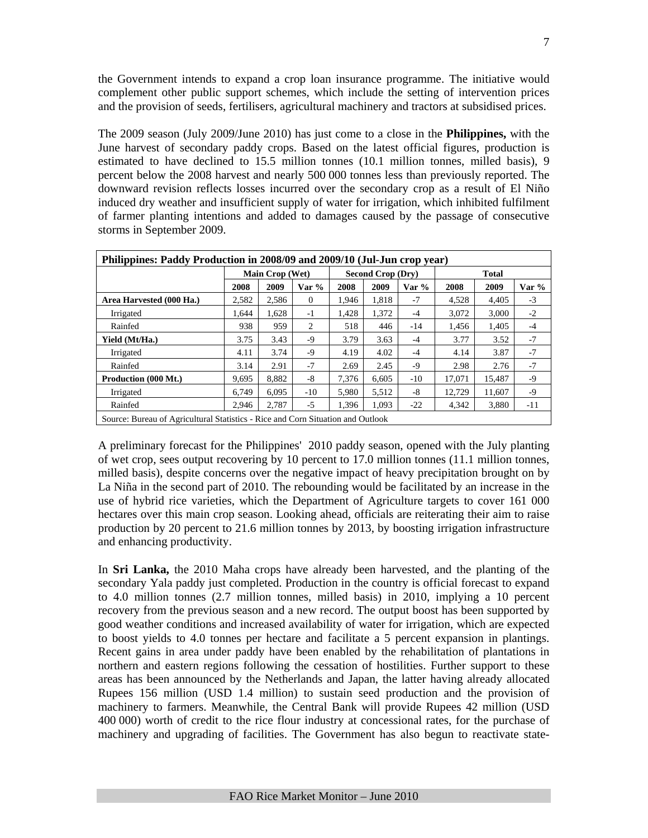the Government intends to expand a crop loan insurance programme. The initiative would complement other public support schemes, which include the setting of intervention prices and the provision of seeds, fertilisers, agricultural machinery and tractors at subsidised prices.

The 2009 season (July 2009/June 2010) has just come to a close in the **Philippines,** with the June harvest of secondary paddy crops. Based on the latest official figures, production is estimated to have declined to 15.5 million tonnes (10.1 million tonnes, milled basis), 9 percent below the 2008 harvest and nearly 500 000 tonnes less than previously reported. The downward revision reflects losses incurred over the secondary crop as a result of El Niño induced dry weather and insufficient supply of water for irrigation, which inhibited fulfilment of farmer planting intentions and added to damages caused by the passage of consecutive storms in September 2009.

| Philippines: Paddy Production in 2008/09 and 2009/10 (Jul-Jun crop year)        |       |                 |          |       |                   |         |              |        |      |  |
|---------------------------------------------------------------------------------|-------|-----------------|----------|-------|-------------------|---------|--------------|--------|------|--|
|                                                                                 |       | Main Crop (Wet) |          |       | Second Crop (Dry) |         | <b>Total</b> |        |      |  |
|                                                                                 | 2008  | 2009            | Var %    | 2008  | 2009              | Var $%$ | 2008         | 2009   | Var% |  |
| Area Harvested (000 Ha.)                                                        | 2,582 | 2.586           | $\theta$ | 1.946 | 1,818             | $-7$    | 4.528        | 4,405  | $-3$ |  |
| Irrigated                                                                       | 1,644 | 1,628           | $-1$     | 1.428 | 1,372             | $-4$    | 3,072        | 3,000  | $-2$ |  |
| Rainfed                                                                         | 938   | 959             | 2        | 518   | 446               | $-14$   | 1.456        | 1,405  | $-4$ |  |
| Yield (Mt/Ha.)                                                                  | 3.75  | 3.43            | $-9$     | 3.79  | 3.63              | $-4$    | 3.77         | 3.52   | $-7$ |  |
| Irrigated                                                                       | 4.11  | 3.74            | $-9$     | 4.19  | 4.02              | $-4$    | 4.14         | 3.87   | $-7$ |  |
| Rainfed                                                                         | 3.14  | 2.91            | $-7$     | 2.69  | 2.45              | $-9$    | 2.98         | 2.76   | $-7$ |  |
| Production (000 Mt.)                                                            | 9,695 | 8,882           | $-8$     | 7,376 | 6.605             | $-10$   | 17,071       | 15,487 | $-9$ |  |
| Irrigated                                                                       | 6.749 | 6.095           | $-10$    | 5.980 | 5.512             | $-8$    | 12.729       | 11,607 | -9   |  |
| Rainfed                                                                         | 2.946 | 2.787           | $-5$     | 1,396 | 1,093             | $-22$   | 4,342        | 3,880  | -11  |  |
| Source: Bureau of Agricultural Statistics - Rice and Corn Situation and Outlook |       |                 |          |       |                   |         |              |        |      |  |

A preliminary forecast for the Philippines' 2010 paddy season, opened with the July planting of wet crop, sees output recovering by 10 percent to 17.0 million tonnes (11.1 million tonnes, milled basis), despite concerns over the negative impact of heavy precipitation brought on by La Niña in the second part of 2010. The rebounding would be facilitated by an increase in the use of hybrid rice varieties, which the Department of Agriculture targets to cover 161 000 hectares over this main crop season. Looking ahead, officials are reiterating their aim to raise production by 20 percent to 21.6 million tonnes by 2013, by boosting irrigation infrastructure and enhancing productivity.

In **Sri Lanka,** the 2010 Maha crops have already been harvested, and the planting of the secondary Yala paddy just completed. Production in the country is official forecast to expand to 4.0 million tonnes (2.7 million tonnes, milled basis) in 2010, implying a 10 percent recovery from the previous season and a new record. The output boost has been supported by good weather conditions and increased availability of water for irrigation, which are expected to boost yields to 4.0 tonnes per hectare and facilitate a 5 percent expansion in plantings. Recent gains in area under paddy have been enabled by the rehabilitation of plantations in northern and eastern regions following the cessation of hostilities. Further support to these areas has been announced by the Netherlands and Japan, the latter having already allocated Rupees 156 million (USD 1.4 million) to sustain seed production and the provision of machinery to farmers. Meanwhile, the Central Bank will provide Rupees 42 million (USD 400 000) worth of credit to the rice flour industry at concessional rates, for the purchase of machinery and upgrading of facilities. The Government has also begun to reactivate state-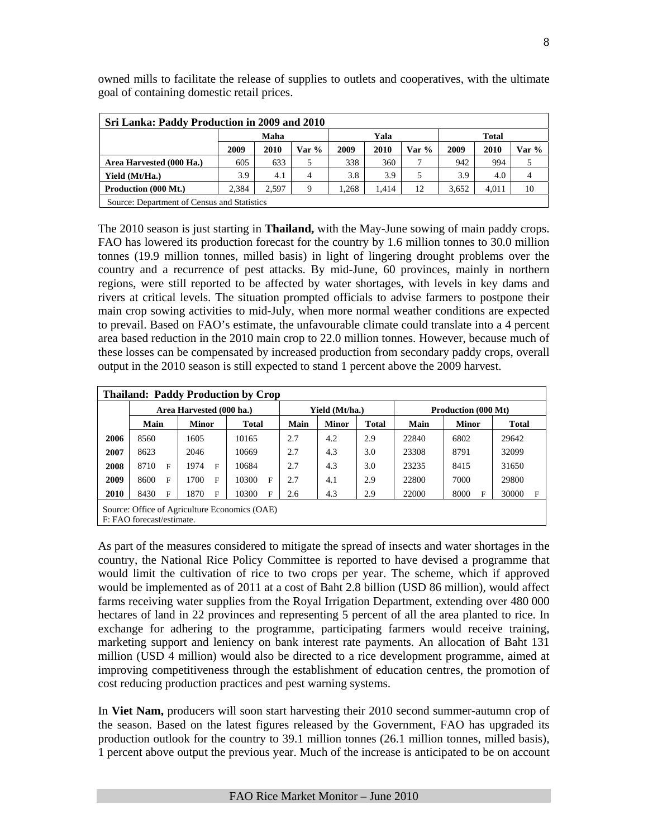| Sri Lanka: Paddy Production in 2009 and 2010 |                                             |                              |       |      |       |       |       |       |       |  |  |  |
|----------------------------------------------|---------------------------------------------|------------------------------|-------|------|-------|-------|-------|-------|-------|--|--|--|
|                                              |                                             | Maha<br>Yala<br><b>Total</b> |       |      |       |       |       |       |       |  |  |  |
|                                              | 2009                                        | 2010                         | Var % | 2009 | 2010  | Var % | 2009  | 2010  | Var % |  |  |  |
| Area Harvested (000 Ha.)                     | 605                                         | 633                          |       | 338  | 360   |       | 942   | 994   |       |  |  |  |
| Yield (Mt/Ha.)                               | 3.9                                         | 4.1                          | 4     | 3.8  | 3.9   |       | 3.9   | 4.0   | 4     |  |  |  |
| Production (000 Mt.)                         | 2.384                                       | 2.597                        | Q     | .268 | 1.414 | 12    | 3,652 | 4,011 | 10    |  |  |  |
|                                              | Source: Department of Census and Statistics |                              |       |      |       |       |       |       |       |  |  |  |

owned mills to facilitate the release of supplies to outlets and cooperatives, with the ultimate goal of containing domestic retail prices.

The 2010 season is just starting in **Thailand,** with the May-June sowing of main paddy crops. FAO has lowered its production forecast for the country by 1.6 million tonnes to 30.0 million tonnes (19.9 million tonnes, milled basis) in light of lingering drought problems over the country and a recurrence of pest attacks. By mid-June, 60 provinces, mainly in northern regions, were still reported to be affected by water shortages, with levels in key dams and rivers at critical levels. The situation prompted officials to advise farmers to postpone their main crop sowing activities to mid-July, when more normal weather conditions are expected to prevail. Based on FAO's estimate, the unfavourable climate could translate into a 4 percent area based reduction in the 2010 main crop to 22.0 million tonnes. However, because much of these losses can be compensated by increased production from secondary paddy crops, overall output in the 2010 season is still expected to stand 1 percent above the 2009 harvest.

|             |                           |                          | <b>Thailand: Paddy Production by Crop</b>     |      |                |              |       |                            |              |  |  |
|-------------|---------------------------|--------------------------|-----------------------------------------------|------|----------------|--------------|-------|----------------------------|--------------|--|--|
|             |                           | Area Harvested (000 ha.) |                                               |      | Yield (Mt/ha.) |              |       | <b>Production (000 Mt)</b> |              |  |  |
|             | Main                      | <b>Minor</b>             | <b>Total</b>                                  | Main | <b>Minor</b>   | <b>Total</b> | Main  | <b>Minor</b>               | <b>Total</b> |  |  |
| 2006        | 8560                      | 1605                     | 10165                                         | 2.7  | 4.2            | 2.9          | 22840 | 6802                       | 29642        |  |  |
| 2007        | 8623                      | 2046                     | 10669                                         | 2.7  | 4.3            | 3.0          | 23308 | 8791                       | 32099        |  |  |
| 2008        | 8710<br>F                 | 1974<br>F                | 10684                                         | 2.7  | 4.3            | 3.0          | 23235 | 8415                       | 31650        |  |  |
| 2009        | 8600<br>F                 | 1700<br>F                | 10300<br>F                                    | 2.7  | 4.1            | 2.9          | 22800 | 7000                       | 29800        |  |  |
| <b>2010</b> | 8430<br>F                 | 1870<br>F                | 10300<br>F                                    | 2.6  | 4.3            | 2.9          | 22000 | 8000<br>F                  | 30000<br>F   |  |  |
|             | F: FAO forecast/estimate. |                          | Source: Office of Agriculture Economics (OAE) |      |                |              |       |                            |              |  |  |

As part of the measures considered to mitigate the spread of insects and water shortages in the country, the National Rice Policy Committee is reported to have devised a programme that would limit the cultivation of rice to two crops per year. The scheme, which if approved would be implemented as of 2011 at a cost of Baht 2.8 billion (USD 86 million), would affect farms receiving water supplies from the Royal Irrigation Department, extending over 480 000 hectares of land in 22 provinces and representing 5 percent of all the area planted to rice. In exchange for adhering to the programme, participating farmers would receive training, marketing support and leniency on bank interest rate payments. An allocation of Baht 131 million (USD 4 million) would also be directed to a rice development programme, aimed at improving competitiveness through the establishment of education centres, the promotion of cost reducing production practices and pest warning systems.

In **Viet Nam,** producers will soon start harvesting their 2010 second summer-autumn crop of the season. Based on the latest figures released by the Government, FAO has upgraded its production outlook for the country to 39.1 million tonnes (26.1 million tonnes, milled basis), 1 percent above output the previous year. Much of the increase is anticipated to be on account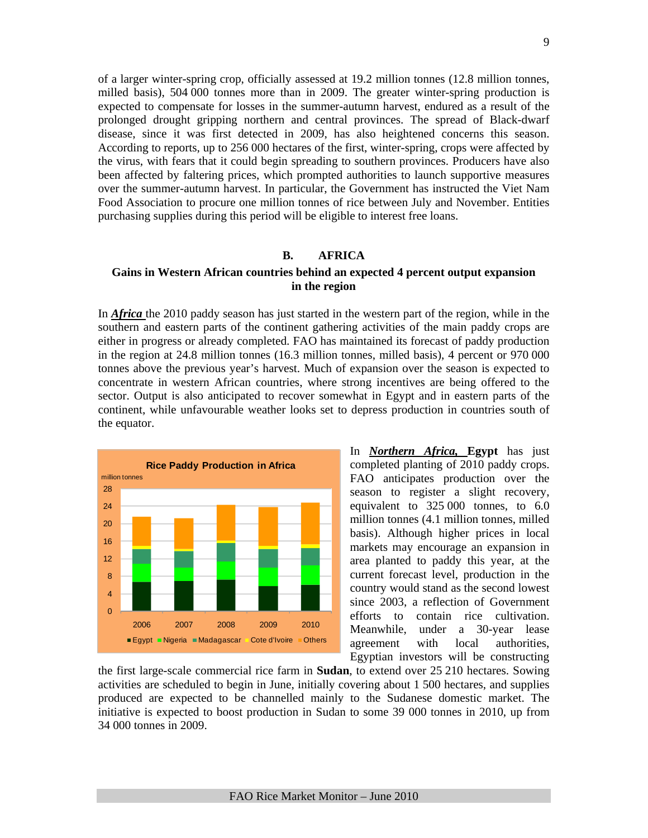of a larger winter-spring crop, officially assessed at 19.2 million tonnes (12.8 million tonnes, milled basis), 504 000 tonnes more than in 2009. The greater winter-spring production is expected to compensate for losses in the summer-autumn harvest, endured as a result of the prolonged drought gripping northern and central provinces. The spread of Black-dwarf disease, since it was first detected in 2009, has also heightened concerns this season. According to reports, up to 256 000 hectares of the first, winter-spring, crops were affected by the virus, with fears that it could begin spreading to southern provinces. Producers have also been affected by faltering prices, which prompted authorities to launch supportive measures over the summer-autumn harvest. In particular, the Government has instructed the Viet Nam Food Association to procure one million tonnes of rice between July and November. Entities purchasing supplies during this period will be eligible to interest free loans.

## **B. AFRICA**

## **Gains in Western African countries behind an expected 4 percent output expansion in the region**

In *Africa* the 2010 paddy season has just started in the western part of the region, while in the southern and eastern parts of the continent gathering activities of the main paddy crops are either in progress or already completed. FAO has maintained its forecast of paddy production in the region at 24.8 million tonnes (16.3 million tonnes, milled basis), 4 percent or 970 000 tonnes above the previous year's harvest. Much of expansion over the season is expected to concentrate in western African countries, where strong incentives are being offered to the sector. Output is also anticipated to recover somewhat in Egypt and in eastern parts of the continent, while unfavourable weather looks set to depress production in countries south of the equator.



In *Northern Africa,* **Egypt** has just completed planting of 2010 paddy crops. FAO anticipates production over the season to register a slight recovery, equivalent to 325 000 tonnes, to 6.0 million tonnes (4.1 million tonnes, milled basis). Although higher prices in local markets may encourage an expansion in area planted to paddy this year, at the current forecast level, production in the country would stand as the second lowest since 2003, a reflection of Government efforts to contain rice cultivation. Meanwhile, under a 30-year lease agreement with local authorities, Egyptian investors will be constructing

the first large-scale commercial rice farm in **Sudan**, to extend over 25 210 hectares. Sowing activities are scheduled to begin in June, initially covering about 1 500 hectares, and supplies produced are expected to be channelled mainly to the Sudanese domestic market. The initiative is expected to boost production in Sudan to some 39 000 tonnes in 2010, up from 34 000 tonnes in 2009.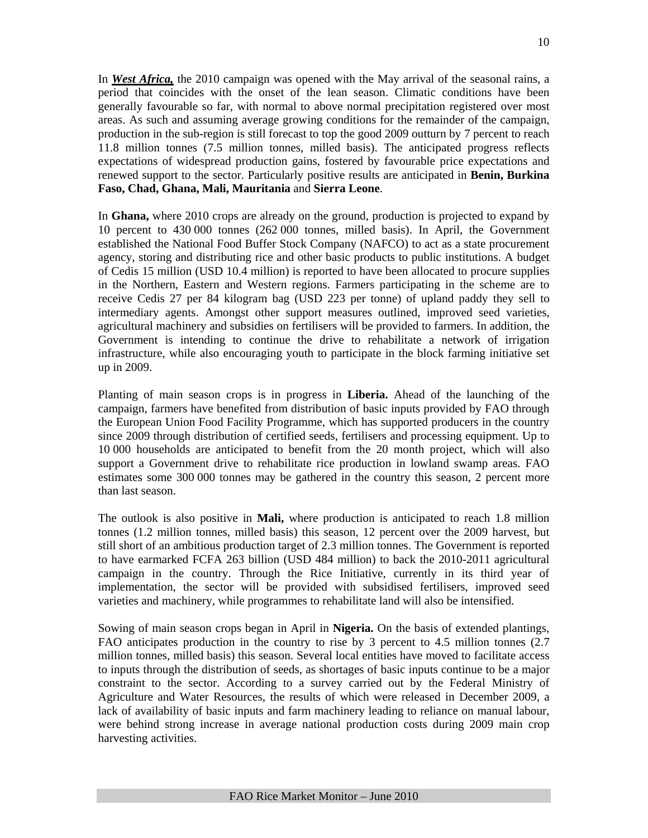In *West Africa,* the 2010 campaign was opened with the May arrival of the seasonal rains, a period that coincides with the onset of the lean season. Climatic conditions have been generally favourable so far, with normal to above normal precipitation registered over most areas. As such and assuming average growing conditions for the remainder of the campaign, production in the sub-region is still forecast to top the good 2009 outturn by 7 percent to reach 11.8 million tonnes (7.5 million tonnes, milled basis). The anticipated progress reflects expectations of widespread production gains, fostered by favourable price expectations and renewed support to the sector. Particularly positive results are anticipated in **Benin, Burkina Faso, Chad, Ghana, Mali, Mauritania** and **Sierra Leone**.

In **Ghana,** where 2010 crops are already on the ground, production is projected to expand by 10 percent to 430 000 tonnes (262 000 tonnes, milled basis). In April, the Government established the National Food Buffer Stock Company (NAFCO) to act as a state procurement agency, storing and distributing rice and other basic products to public institutions. A budget of Cedis 15 million (USD 10.4 million) is reported to have been allocated to procure supplies in the Northern, Eastern and Western regions. Farmers participating in the scheme are to receive Cedis 27 per 84 kilogram bag (USD 223 per tonne) of upland paddy they sell to intermediary agents. Amongst other support measures outlined, improved seed varieties, agricultural machinery and subsidies on fertilisers will be provided to farmers. In addition, the Government is intending to continue the drive to rehabilitate a network of irrigation infrastructure, while also encouraging youth to participate in the block farming initiative set up in 2009.

Planting of main season crops is in progress in **Liberia.** Ahead of the launching of the campaign, farmers have benefited from distribution of basic inputs provided by FAO through the European Union Food Facility Programme, which has supported producers in the country since 2009 through distribution of certified seeds, fertilisers and processing equipment. Up to 10 000 households are anticipated to benefit from the 20 month project, which will also support a Government drive to rehabilitate rice production in lowland swamp areas. FAO estimates some 300 000 tonnes may be gathered in the country this season, 2 percent more than last season.

The outlook is also positive in **Mali,** where production is anticipated to reach 1.8 million tonnes (1.2 million tonnes, milled basis) this season, 12 percent over the 2009 harvest, but still short of an ambitious production target of 2.3 million tonnes. The Government is reported to have earmarked FCFA 263 billion (USD 484 million) to back the 2010-2011 agricultural campaign in the country. Through the Rice Initiative, currently in its third year of implementation, the sector will be provided with subsidised fertilisers, improved seed varieties and machinery, while programmes to rehabilitate land will also be intensified.

Sowing of main season crops began in April in **Nigeria.** On the basis of extended plantings, FAO anticipates production in the country to rise by 3 percent to 4.5 million tonnes (2.7 million tonnes, milled basis) this season. Several local entities have moved to facilitate access to inputs through the distribution of seeds, as shortages of basic inputs continue to be a major constraint to the sector. According to a survey carried out by the Federal Ministry of Agriculture and Water Resources, the results of which were released in December 2009, a lack of availability of basic inputs and farm machinery leading to reliance on manual labour, were behind strong increase in average national production costs during 2009 main crop harvesting activities.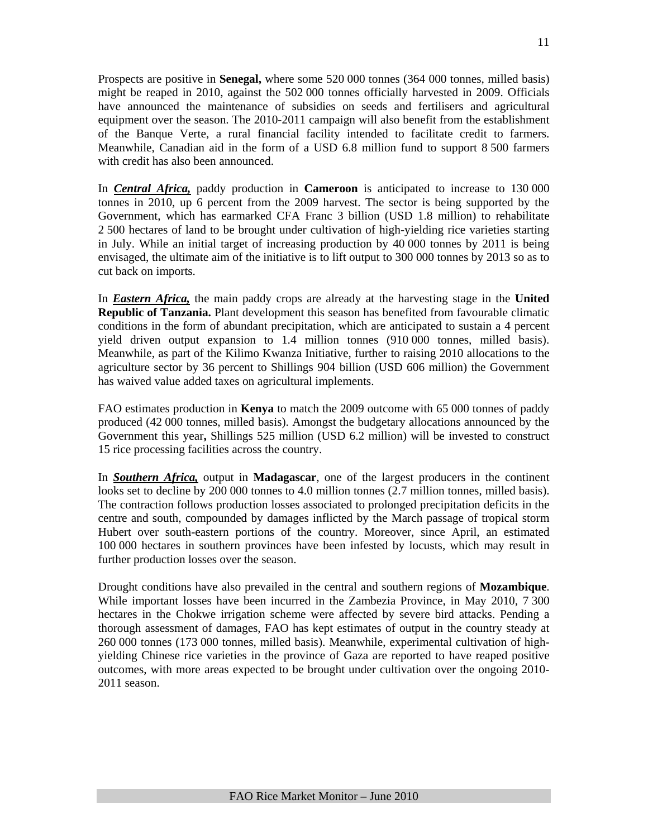Prospects are positive in **Senegal,** where some 520 000 tonnes (364 000 tonnes, milled basis) might be reaped in 2010, against the 502 000 tonnes officially harvested in 2009. Officials have announced the maintenance of subsidies on seeds and fertilisers and agricultural equipment over the season. The 2010-2011 campaign will also benefit from the establishment of the Banque Verte, a rural financial facility intended to facilitate credit to farmers. Meanwhile, Canadian aid in the form of a USD 6.8 million fund to support 8 500 farmers with credit has also been announced.

In *Central Africa,* paddy production in **Cameroon** is anticipated to increase to 130 000 tonnes in 2010, up 6 percent from the 2009 harvest. The sector is being supported by the Government, which has earmarked CFA Franc 3 billion (USD 1.8 million) to rehabilitate 2 500 hectares of land to be brought under cultivation of high-yielding rice varieties starting in July. While an initial target of increasing production by 40 000 tonnes by 2011 is being envisaged, the ultimate aim of the initiative is to lift output to 300 000 tonnes by 2013 so as to cut back on imports.

In *Eastern Africa,* the main paddy crops are already at the harvesting stage in the **United Republic of Tanzania.** Plant development this season has benefited from favourable climatic conditions in the form of abundant precipitation, which are anticipated to sustain a 4 percent yield driven output expansion to 1.4 million tonnes (910 000 tonnes, milled basis). Meanwhile, as part of the Kilimo Kwanza Initiative, further to raising 2010 allocations to the agriculture sector by 36 percent to Shillings 904 billion (USD 606 million) the Government has waived value added taxes on agricultural implements.

FAO estimates production in **Kenya** to match the 2009 outcome with 65 000 tonnes of paddy produced (42 000 tonnes, milled basis). Amongst the budgetary allocations announced by the Government this year**,** Shillings 525 million (USD 6.2 million) will be invested to construct 15 rice processing facilities across the country.

In *Southern Africa,* output in **Madagascar**, one of the largest producers in the continent looks set to decline by 200 000 tonnes to 4.0 million tonnes (2.7 million tonnes, milled basis). The contraction follows production losses associated to prolonged precipitation deficits in the centre and south, compounded by damages inflicted by the March passage of tropical storm Hubert over south-eastern portions of the country. Moreover, since April, an estimated 100 000 hectares in southern provinces have been infested by locusts, which may result in further production losses over the season.

Drought conditions have also prevailed in the central and southern regions of **Mozambique**. While important losses have been incurred in the Zambezia Province, in May 2010, 7 300 hectares in the Chokwe irrigation scheme were affected by severe bird attacks. Pending a thorough assessment of damages, FAO has kept estimates of output in the country steady at 260 000 tonnes (173 000 tonnes, milled basis). Meanwhile, experimental cultivation of highyielding Chinese rice varieties in the province of Gaza are reported to have reaped positive outcomes, with more areas expected to be brought under cultivation over the ongoing 2010- 2011 season.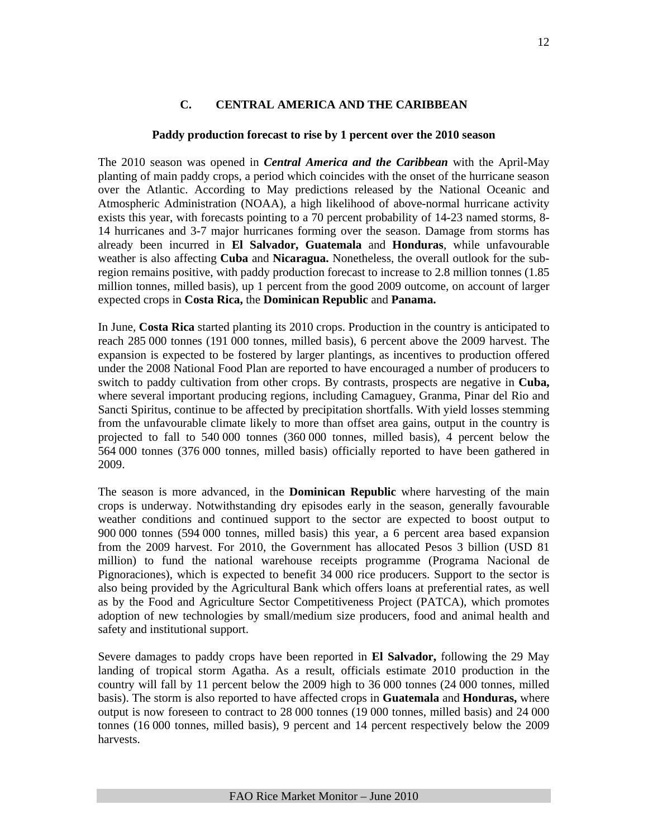# **C. CENTRAL AMERICA AND THE CARIBBEAN**

## **Paddy production forecast to rise by 1 percent over the 2010 season**

The 2010 season was opened in *Central America and the Caribbean* with the April-May planting of main paddy crops, a period which coincides with the onset of the hurricane season over the Atlantic. According to May predictions released by the National Oceanic and Atmospheric Administration (NOAA), a high likelihood of above-normal hurricane activity exists this year, with forecasts pointing to a 70 percent probability of 14-23 named storms, 8- 14 hurricanes and 3-7 major hurricanes forming over the season. Damage from storms has already been incurred in **El Salvador, Guatemala** and **Honduras**, while unfavourable weather is also affecting **Cuba** and **Nicaragua.** Nonetheless, the overall outlook for the subregion remains positive, with paddy production forecast to increase to 2.8 million tonnes (1.85 million tonnes, milled basis), up 1 percent from the good 2009 outcome, on account of larger expected crops in **Costa Rica,** the **Dominican Republic** and **Panama.**

In June, **Costa Rica** started planting its 2010 crops. Production in the country is anticipated to reach 285 000 tonnes (191 000 tonnes, milled basis), 6 percent above the 2009 harvest. The expansion is expected to be fostered by larger plantings, as incentives to production offered under the 2008 National Food Plan are reported to have encouraged a number of producers to switch to paddy cultivation from other crops. By contrasts, prospects are negative in **Cuba,**  where several important producing regions, including Camaguey, Granma, Pinar del Rio and Sancti Spiritus, continue to be affected by precipitation shortfalls. With yield losses stemming from the unfavourable climate likely to more than offset area gains, output in the country is projected to fall to 540 000 tonnes (360 000 tonnes, milled basis), 4 percent below the 564 000 tonnes (376 000 tonnes, milled basis) officially reported to have been gathered in 2009.

The season is more advanced, in the **Dominican Republic** where harvesting of the main crops is underway. Notwithstanding dry episodes early in the season, generally favourable weather conditions and continued support to the sector are expected to boost output to 900 000 tonnes (594 000 tonnes, milled basis) this year, a 6 percent area based expansion from the 2009 harvest. For 2010, the Government has allocated Pesos 3 billion (USD 81 million) to fund the national warehouse receipts programme (Programa Nacional de Pignoraciones), which is expected to benefit 34 000 rice producers. Support to the sector is also being provided by the Agricultural Bank which offers loans at preferential rates, as well as by the Food and Agriculture Sector Competitiveness Project (PATCA), which promotes adoption of new technologies by small/medium size producers, food and animal health and safety and institutional support.

Severe damages to paddy crops have been reported in **El Salvador,** following the 29 May landing of tropical storm Agatha. As a result, officials estimate 2010 production in the country will fall by 11 percent below the 2009 high to 36 000 tonnes (24 000 tonnes, milled basis). The storm is also reported to have affected crops in **Guatemala** and **Honduras,** where output is now foreseen to contract to 28 000 tonnes (19 000 tonnes, milled basis) and 24 000 tonnes (16 000 tonnes, milled basis), 9 percent and 14 percent respectively below the 2009 harvests.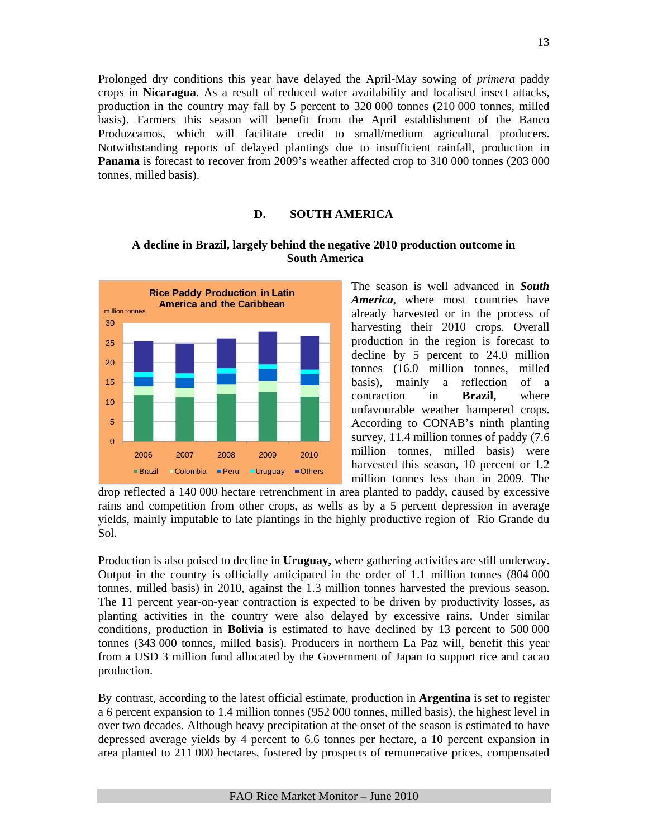Prolonged dry conditions this year have delayed the April-May sowing of *primera* paddy crops in **Nicaragua**. As a result of reduced water availability and localised insect attacks, production in the country may fall by 5 percent to 320 000 tonnes (210 000 tonnes, milled basis). Farmers this season will benefit from the April establishment of the Banco Produzcamos, which will facilitate credit to small/medium agricultural producers. Notwithstanding reports of delayed plantings due to insufficient rainfall, production in **Panama** is forecast to recover from 2009's weather affected crop to 310 000 tonnes (203 000 tonnes, milled basis).

#### **D. SOUTH AMERICA**



### **A decline in Brazil, largely behind the negative 2010 production outcome in South America**

The season is well advanced in *South America*, where most countries have already harvested or in the process of harvesting their 2010 crops. Overall production in the region is forecast to decline by 5 percent to 24.0 million tonnes (16.0 million tonnes, milled basis), mainly a reflection of a contraction in **Brazil,** where unfavourable weather hampered crops. According to CONAB's ninth planting survey, 11.4 million tonnes of paddy (7.6 million tonnes, milled basis) were harvested this season, 10 percent or 1.2 million tonnes less than in 2009. The

drop reflected a 140 000 hectare retrenchment in area planted to paddy, caused by excessive rains and competition from other crops, as wells as by a 5 percent depression in average yields, mainly imputable to late plantings in the highly productive region of Rio Grande du Sol.

Production is also poised to decline in **Uruguay,** where gathering activities are still underway. Output in the country is officially anticipated in the order of 1.1 million tonnes (804 000 tonnes, milled basis) in 2010, against the 1.3 million tonnes harvested the previous season. The 11 percent year-on-year contraction is expected to be driven by productivity losses, as planting activities in the country were also delayed by excessive rains. Under similar conditions, production in **Bolivia** is estimated to have declined by 13 percent to 500 000 tonnes (343 000 tonnes, milled basis). Producers in northern La Paz will, benefit this year from a USD 3 million fund allocated by the Government of Japan to support rice and cacao production.

By contrast, according to the latest official estimate, production in **Argentina** is set to register a 6 percent expansion to 1.4 million tonnes (952 000 tonnes, milled basis), the highest level in over two decades. Although heavy precipitation at the onset of the season is estimated to have depressed average yields by 4 percent to 6.6 tonnes per hectare, a 10 percent expansion in area planted to 211 000 hectares, fostered by prospects of remunerative prices, compensated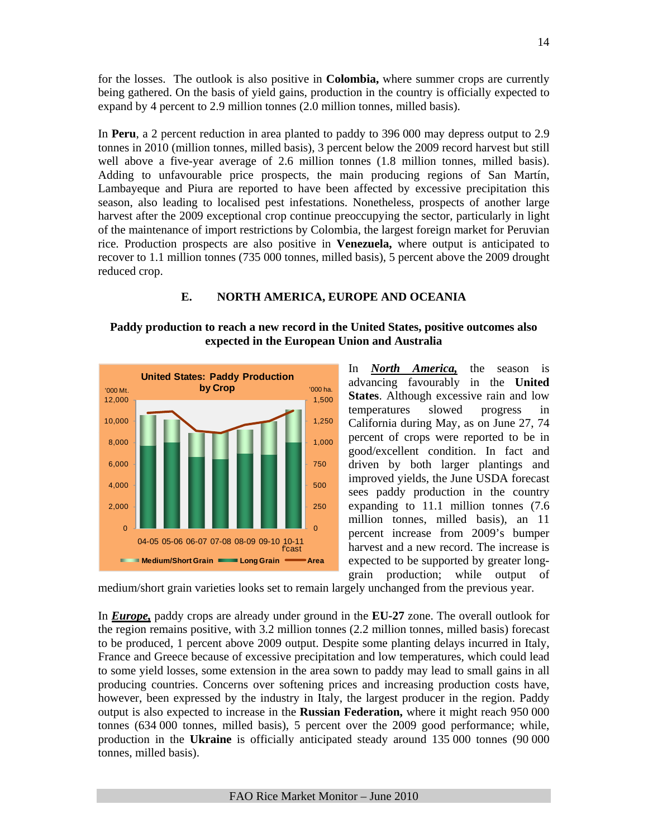for the losses. The outlook is also positive in **Colombia,** where summer crops are currently being gathered. On the basis of yield gains, production in the country is officially expected to expand by 4 percent to 2.9 million tonnes (2.0 million tonnes, milled basis).

In **Peru**, a 2 percent reduction in area planted to paddy to 396 000 may depress output to 2.9 tonnes in 2010 (million tonnes, milled basis), 3 percent below the 2009 record harvest but still well above a five-year average of 2.6 million tonnes (1.8 million tonnes, milled basis). Adding to unfavourable price prospects, the main producing regions of San Martín, Lambayeque and Piura are reported to have been affected by excessive precipitation this season, also leading to localised pest infestations. Nonetheless, prospects of another large harvest after the 2009 exceptional crop continue preoccupying the sector, particularly in light of the maintenance of import restrictions by Colombia, the largest foreign market for Peruvian rice. Production prospects are also positive in **Venezuela,** where output is anticipated to recover to 1.1 million tonnes (735 000 tonnes, milled basis), 5 percent above the 2009 drought reduced crop.

## **E. NORTH AMERICA, EUROPE AND OCEANIA**

## **Paddy production to reach a new record in the United States, positive outcomes also expected in the European Union and Australia**



In *North America,* the season is advancing favourably in the **United States**. Although excessive rain and low temperatures slowed progress in California during May, as on June 27, 74 percent of crops were reported to be in good/excellent condition. In fact and driven by both larger plantings and improved yields, the June USDA forecast sees paddy production in the country expanding to 11.1 million tonnes (7.6 million tonnes, milled basis), an 11 percent increase from 2009's bumper harvest and a new record. The increase is expected to be supported by greater longgrain production; while output of

medium/short grain varieties looks set to remain largely unchanged from the previous year.

In *Europe,* paddy crops are already under ground in the **EU-27** zone. The overall outlook for the region remains positive, with 3.2 million tonnes (2.2 million tonnes, milled basis) forecast to be produced, 1 percent above 2009 output. Despite some planting delays incurred in Italy, France and Greece because of excessive precipitation and low temperatures, which could lead to some yield losses, some extension in the area sown to paddy may lead to small gains in all producing countries. Concerns over softening prices and increasing production costs have, however, been expressed by the industry in Italy, the largest producer in the region. Paddy output is also expected to increase in the **Russian Federation,** where it might reach 950 000 tonnes (634 000 tonnes, milled basis), 5 percent over the 2009 good performance; while, production in the **Ukraine** is officially anticipated steady around 135 000 tonnes (90 000 tonnes, milled basis).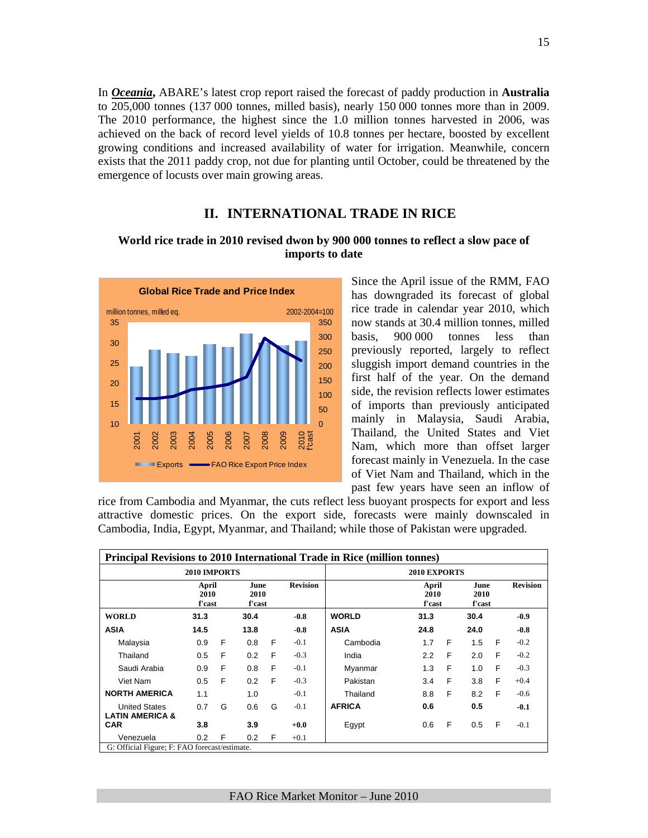In *Oceania***,** ABARE's latest crop report raised the forecast of paddy production in **Australia**  to 205,000 tonnes (137 000 tonnes, milled basis), nearly 150 000 tonnes more than in 2009. The 2010 performance, the highest since the 1.0 million tonnes harvested in 2006, was achieved on the back of record level yields of 10.8 tonnes per hectare, boosted by excellent growing conditions and increased availability of water for irrigation. Meanwhile, concern exists that the 2011 paddy crop, not due for planting until October, could be threatened by the emergence of locusts over main growing areas.

## **II. INTERNATIONAL TRADE IN RICE**

#### **World rice trade in 2010 revised dwon by 900 000 tonnes to reflect a slow pace of imports to date**



Since the April issue of the RMM, FAO has downgraded its forecast of global rice trade in calendar year 2010, which now stands at 30.4 million tonnes, milled basis, 900 000 tonnes less than previously reported, largely to reflect sluggish import demand countries in the first half of the year. On the demand side, the revision reflects lower estimates of imports than previously anticipated mainly in Malaysia, Saudi Arabia, Thailand, the United States and Viet Nam, which more than offset larger forecast mainly in Venezuela. In the case of Viet Nam and Thailand, which in the past few years have seen an inflow of

rice from Cambodia and Myanmar, the cuts reflect less buoyant prospects for export and less attractive domestic prices. On the export side, forecasts were mainly downscaled in Cambodia, India, Egypt, Myanmar, and Thailand; while those of Pakistan were upgraded.

| <b>Principal Revisions to 2010 International Trade in Rice (million tonnes)</b> |                         |   |                        |   |                 |               |                         |   |                        |   |                 |
|---------------------------------------------------------------------------------|-------------------------|---|------------------------|---|-----------------|---------------|-------------------------|---|------------------------|---|-----------------|
|                                                                                 | 2010 IMPORTS            |   |                        |   |                 |               | <b>2010 EXPORTS</b>     |   |                        |   |                 |
|                                                                                 | April<br>2010<br>f'cast |   | June<br>2010<br>f'cast |   | <b>Revision</b> |               | April<br>2010<br>f'cast |   | June<br>2010<br>f'cast |   | <b>Revision</b> |
| <b>WORLD</b>                                                                    | 31.3                    |   | 30.4                   |   | $-0.8$          | <b>WORLD</b>  | 31.3                    |   | 30.4                   |   | $-0.9$          |
| <b>ASIA</b>                                                                     | 14.5                    |   | 13.8                   |   | $-0.8$          | <b>ASIA</b>   | 24.8                    |   | 24.0                   |   | $-0.8$          |
| Malaysia                                                                        | 0.9                     | F | 0.8                    | F | $-0.1$          | Cambodia      | 1.7                     | F | 1.5                    | F | $-0.2$          |
| Thailand                                                                        | 0.5                     | F | 0.2                    | F | $-0.3$          | India         | 2.2                     | F | 2.0                    | F | $-0.2$          |
| Saudi Arabia                                                                    | 0.9                     | F | 0.8                    | F | $-0.1$          | Myanmar       | 1.3                     | F | 1.0                    | F | $-0.3$          |
| Viet Nam                                                                        | 0.5                     | F | 0.2                    | F | $-0.3$          | Pakistan      | 3.4                     | F | 3.8                    | F | $+0.4$          |
| <b>NORTH AMERICA</b>                                                            | 1.1                     |   | 1.0                    |   | $-0.1$          | Thailand      | 8.8                     | F | 8.2                    | F | $-0.6$          |
| <b>United States</b><br><b>LATIN AMERICA &amp;</b>                              | 0.7                     | G | 0.6                    | G | $-0.1$          | <b>AFRICA</b> | 0.6                     |   | 0.5                    |   | $-0.1$          |
| <b>CAR</b>                                                                      | 3.8                     |   | 3.9                    |   | $+0.0$          | Egypt         | 0.6                     | F | 0.5                    | F | $-0.1$          |
| Venezuela                                                                       | 0.2                     | F | 0.2                    | F | $+0.1$          |               |                         |   |                        |   |                 |
| G: Official Figure; F: FAO forecast/estimate.                                   |                         |   |                        |   |                 |               |                         |   |                        |   |                 |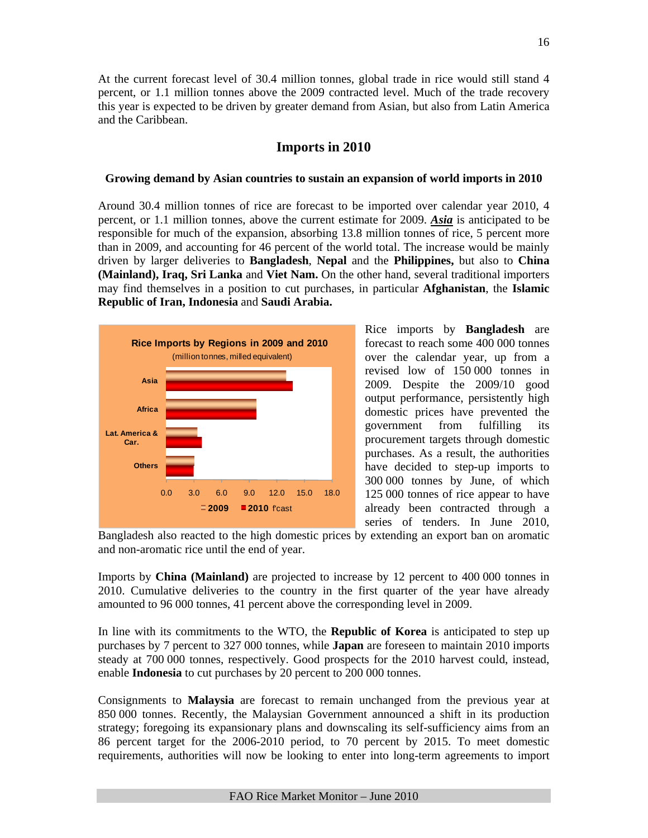At the current forecast level of 30.4 million tonnes, global trade in rice would still stand 4 percent, or 1.1 million tonnes above the 2009 contracted level. Much of the trade recovery this year is expected to be driven by greater demand from Asian, but also from Latin America and the Caribbean.

## **Imports in 2010**

#### **Growing demand by Asian countries to sustain an expansion of world imports in 2010**

Around 30.4 million tonnes of rice are forecast to be imported over calendar year 2010, 4 percent, or 1.1 million tonnes, above the current estimate for 2009. *Asia* is anticipated to be responsible for much of the expansion, absorbing 13.8 million tonnes of rice, 5 percent more than in 2009, and accounting for 46 percent of the world total. The increase would be mainly driven by larger deliveries to **Bangladesh**, **Nepal** and the **Philippines,** but also to **China (Mainland), Iraq, Sri Lanka** and **Viet Nam.** On the other hand, several traditional importers may find themselves in a position to cut purchases, in particular **Afghanistan**, the **Islamic Republic of Iran, Indonesia** and **Saudi Arabia.**



Rice imports by **Bangladesh** are forecast to reach some 400 000 tonnes over the calendar year, up from a revised low of 150 000 tonnes in 2009. Despite the 2009/10 good output performance, persistently high domestic prices have prevented the<br>government from fulfilling its government from fulfilling its procurement targets through domestic purchases. As a result, the authorities have decided to step-up imports to 300 000 tonnes by June, of which 125 000 tonnes of rice appear to have already been contracted through a series of tenders. In June 2010,

Bangladesh also reacted to the high domestic prices by extending an export ban on aromatic and non-aromatic rice until the end of year.

Imports by **China (Mainland)** are projected to increase by 12 percent to 400 000 tonnes in 2010. Cumulative deliveries to the country in the first quarter of the year have already amounted to 96 000 tonnes, 41 percent above the corresponding level in 2009.

In line with its commitments to the WTO, the **Republic of Korea** is anticipated to step up purchases by 7 percent to 327 000 tonnes, while **Japan** are foreseen to maintain 2010 imports steady at 700 000 tonnes, respectively. Good prospects for the 2010 harvest could, instead, enable **Indonesia** to cut purchases by 20 percent to 200 000 tonnes.

Consignments to **Malaysia** are forecast to remain unchanged from the previous year at 850 000 tonnes. Recently, the Malaysian Government announced a shift in its production strategy; foregoing its expansionary plans and downscaling its self-sufficiency aims from an 86 percent target for the 2006-2010 period, to 70 percent by 2015. To meet domestic requirements, authorities will now be looking to enter into long-term agreements to import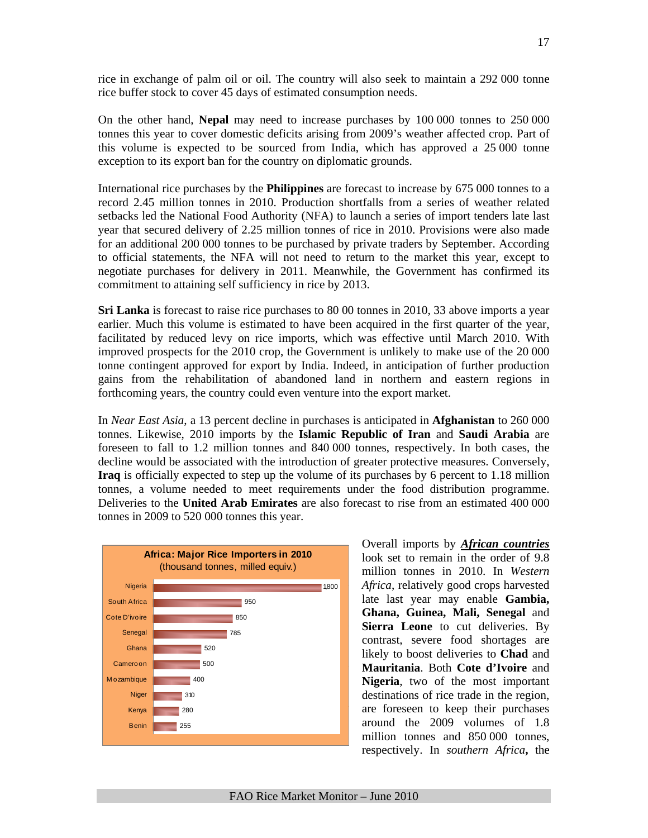rice in exchange of palm oil or oil. The country will also seek to maintain a 292 000 tonne rice buffer stock to cover 45 days of estimated consumption needs.

On the other hand, **Nepal** may need to increase purchases by 100 000 tonnes to 250 000 tonnes this year to cover domestic deficits arising from 2009's weather affected crop. Part of this volume is expected to be sourced from India, which has approved a 25 000 tonne exception to its export ban for the country on diplomatic grounds.

International rice purchases by the **Philippines** are forecast to increase by 675 000 tonnes to a record 2.45 million tonnes in 2010. Production shortfalls from a series of weather related setbacks led the National Food Authority (NFA) to launch a series of import tenders late last year that secured delivery of 2.25 million tonnes of rice in 2010. Provisions were also made for an additional 200 000 tonnes to be purchased by private traders by September. According to official statements, the NFA will not need to return to the market this year, except to negotiate purchases for delivery in 2011. Meanwhile, the Government has confirmed its commitment to attaining self sufficiency in rice by 2013.

**Sri Lanka** is forecast to raise rice purchases to 80 00 tonnes in 2010, 33 above imports a year earlier. Much this volume is estimated to have been acquired in the first quarter of the year, facilitated by reduced levy on rice imports, which was effective until March 2010. With improved prospects for the 2010 crop, the Government is unlikely to make use of the 20 000 tonne contingent approved for export by India. Indeed, in anticipation of further production gains from the rehabilitation of abandoned land in northern and eastern regions in forthcoming years, the country could even venture into the export market.

In *Near East Asia*, a 13 percent decline in purchases is anticipated in **Afghanistan** to 260 000 tonnes. Likewise, 2010 imports by the **Islamic Republic of Iran** and **Saudi Arabia** are foreseen to fall to 1.2 million tonnes and 840 000 tonnes, respectively. In both cases, the decline would be associated with the introduction of greater protective measures. Conversely, **Iraq** is officially expected to step up the volume of its purchases by 6 percent to 1.18 million tonnes, a volume needed to meet requirements under the food distribution programme. Deliveries to the **United Arab Emirates** are also forecast to rise from an estimated 400 000 tonnes in 2009 to 520 000 tonnes this year.



Overall imports by *African countries* look set to remain in the order of 9.8 million tonnes in 2010. In *Western Africa*, relatively good crops harvested late last year may enable **Gambia, Ghana, Guinea, Mali, Senegal** and **Sierra Leone** to cut deliveries. By contrast, severe food shortages are likely to boost deliveries to **Chad** and **Mauritania**. Both **Cote d'Ivoire** and **Nigeria**, two of the most important destinations of rice trade in the region, are foreseen to keep their purchases around the 2009 volumes of 1.8 million tonnes and 850 000 tonnes, respectively. In *southern Africa***,** the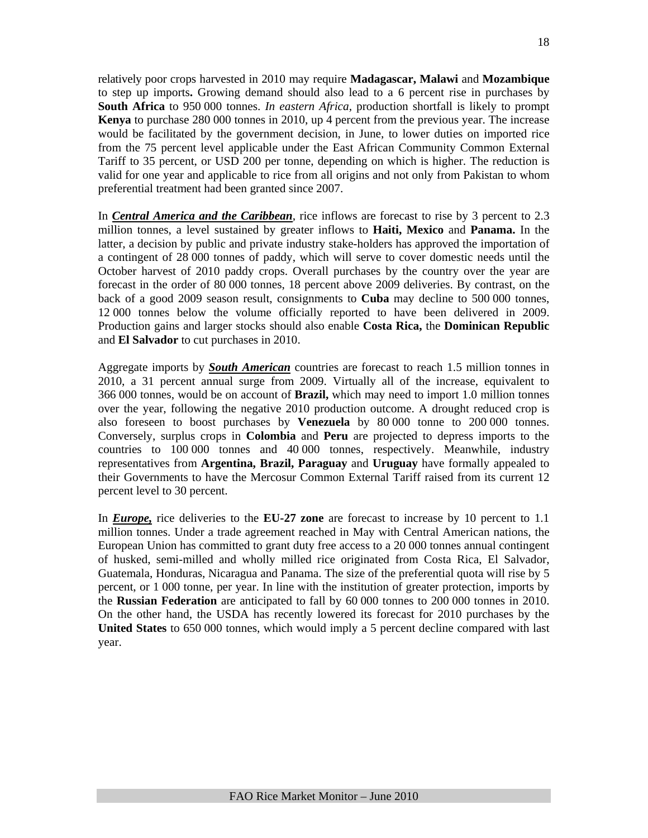relatively poor crops harvested in 2010 may require **Madagascar, Malawi** and **Mozambique** to step up imports**.** Growing demand should also lead to a 6 percent rise in purchases by **South Africa** to 950 000 tonnes. *In eastern Africa,* production shortfall is likely to prompt **Kenya** to purchase 280 000 tonnes in 2010, up 4 percent from the previous year. The increase would be facilitated by the government decision, in June, to lower duties on imported rice from the 75 percent level applicable under the East African Community Common External Tariff to 35 percent, or USD 200 per tonne, depending on which is higher. The reduction is valid for one year and applicable to rice from all origins and not only from Pakistan to whom preferential treatment had been granted since 2007.

In *Central America and the Caribbean*, rice inflows are forecast to rise by 3 percent to 2.3 million tonnes, a level sustained by greater inflows to **Haiti, Mexico** and **Panama.** In the latter, a decision by public and private industry stake-holders has approved the importation of a contingent of 28 000 tonnes of paddy, which will serve to cover domestic needs until the October harvest of 2010 paddy crops. Overall purchases by the country over the year are forecast in the order of 80 000 tonnes, 18 percent above 2009 deliveries. By contrast, on the back of a good 2009 season result, consignments to **Cuba** may decline to 500 000 tonnes, 12 000 tonnes below the volume officially reported to have been delivered in 2009. Production gains and larger stocks should also enable **Costa Rica,** the **Dominican Republic**  and **El Salvador** to cut purchases in 2010.

Aggregate imports by *South American* countries are forecast to reach 1.5 million tonnes in 2010, a 31 percent annual surge from 2009. Virtually all of the increase, equivalent to 366 000 tonnes, would be on account of **Brazil,** which may need to import 1.0 million tonnes over the year, following the negative 2010 production outcome. A drought reduced crop is also foreseen to boost purchases by **Venezuela** by 80 000 tonne to 200 000 tonnes. Conversely, surplus crops in **Colombia** and **Peru** are projected to depress imports to the countries to 100 000 tonnes and 40 000 tonnes, respectively. Meanwhile, industry representatives from **Argentina, Brazil, Paraguay** and **Uruguay** have formally appealed to their Governments to have the Mercosur Common External Tariff raised from its current 12 percent level to 30 percent.

In *Europe,* rice deliveries to the **EU-27 zone** are forecast to increase by 10 percent to 1.1 million tonnes. Under a trade agreement reached in May with Central American nations, the European Union has committed to grant duty free access to a 20 000 tonnes annual contingent of husked, semi-milled and wholly milled rice originated from Costa Rica, El Salvador, Guatemala, Honduras, Nicaragua and Panama. The size of the preferential quota will rise by 5 percent, or 1 000 tonne, per year. In line with the institution of greater protection, imports by the **Russian Federation** are anticipated to fall by 60 000 tonnes to 200 000 tonnes in 2010. On the other hand, the USDA has recently lowered its forecast for 2010 purchases by the **United States** to 650 000 tonnes, which would imply a 5 percent decline compared with last year.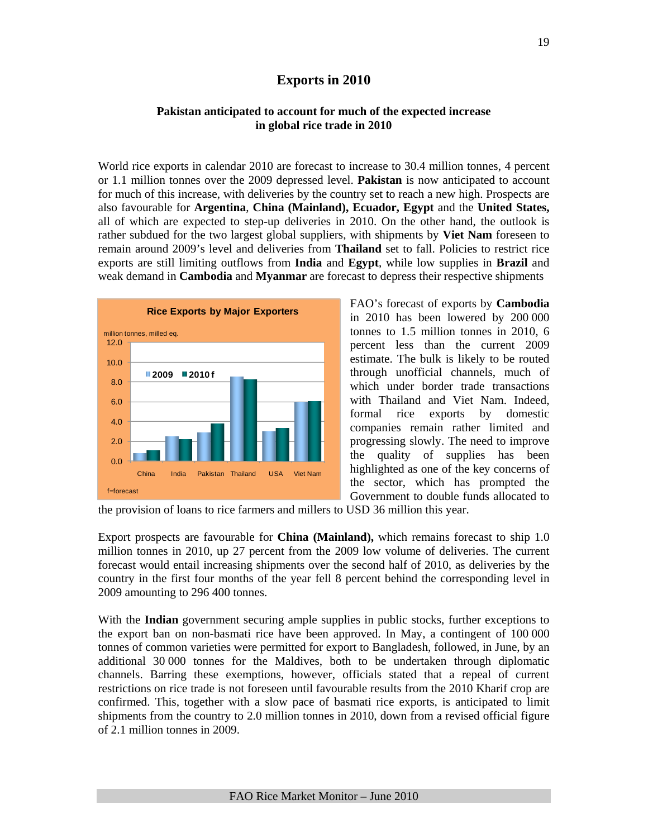# **Exports in 2010**

#### **Pakistan anticipated to account for much of the expected increase in global rice trade in 2010**

World rice exports in calendar 2010 are forecast to increase to 30.4 million tonnes, 4 percent or 1.1 million tonnes over the 2009 depressed level. **Pakistan** is now anticipated to account for much of this increase, with deliveries by the country set to reach a new high. Prospects are also favourable for **Argentina**, **China (Mainland), Ecuador, Egypt** and the **United States,**  all of which are expected to step-up deliveries in 2010. On the other hand, the outlook is rather subdued for the two largest global suppliers, with shipments by **Viet Nam** foreseen to remain around 2009's level and deliveries from **Thailand** set to fall. Policies to restrict rice exports are still limiting outflows from **India** and **Egypt**, while low supplies in **Brazil** and weak demand in **Cambodia** and **Myanmar** are forecast to depress their respective shipments



FAO's forecast of exports by **Cambodia**  in 2010 has been lowered by 200 000 tonnes to 1.5 million tonnes in 2010, 6 percent less than the current 2009 estimate. The bulk is likely to be routed through unofficial channels, much of which under border trade transactions with Thailand and Viet Nam. Indeed, formal rice exports by domestic companies remain rather limited and progressing slowly. The need to improve the quality of supplies has been highlighted as one of the key concerns of the sector, which has prompted the Government to double funds allocated to

the provision of loans to rice farmers and millers to USD 36 million this year.

Export prospects are favourable for **China (Mainland),** which remains forecast to ship 1.0 million tonnes in 2010, up 27 percent from the 2009 low volume of deliveries. The current forecast would entail increasing shipments over the second half of 2010, as deliveries by the country in the first four months of the year fell 8 percent behind the corresponding level in 2009 amounting to 296 400 tonnes.

With the **Indian** government securing ample supplies in public stocks, further exceptions to the export ban on non-basmati rice have been approved. In May, a contingent of 100 000 tonnes of common varieties were permitted for export to Bangladesh, followed, in June, by an additional 30 000 tonnes for the Maldives, both to be undertaken through diplomatic channels. Barring these exemptions, however, officials stated that a repeal of current restrictions on rice trade is not foreseen until favourable results from the 2010 Kharif crop are confirmed. This, together with a slow pace of basmati rice exports, is anticipated to limit shipments from the country to 2.0 million tonnes in 2010, down from a revised official figure of 2.1 million tonnes in 2009.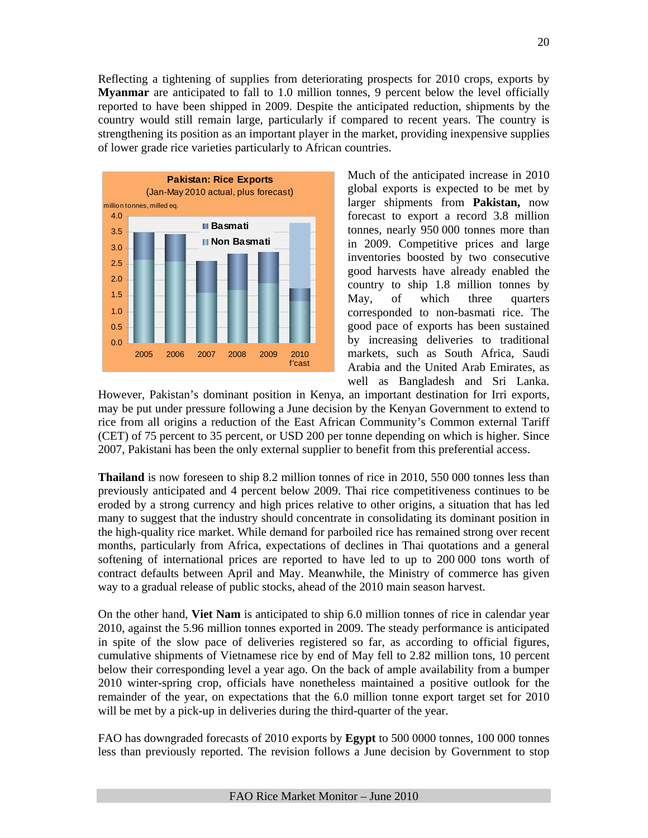Reflecting a tightening of supplies from deteriorating prospects for 2010 crops, exports by **Myanmar** are anticipated to fall to 1.0 million tonnes, 9 percent below the level officially reported to have been shipped in 2009. Despite the anticipated reduction, shipments by the country would still remain large, particularly if compared to recent years. The country is strengthening its position as an important player in the market, providing inexpensive supplies of lower grade rice varieties particularly to African countries.



Much of the anticipated increase in 2010 global exports is expected to be met by larger shipments from **Pakistan,** now forecast to export a record 3.8 million tonnes, nearly 950 000 tonnes more than in 2009. Competitive prices and large inventories boosted by two consecutive good harvests have already enabled the country to ship 1.8 million tonnes by May, of which three quarters corresponded to non-basmati rice. The good pace of exports has been sustained by increasing deliveries to traditional markets, such as South Africa, Saudi Arabia and the United Arab Emirates, as well as Bangladesh and Sri Lanka.

However, Pakistan's dominant position in Kenya, an important destination for Irri exports, may be put under pressure following a June decision by the Kenyan Government to extend to rice from all origins a reduction of the East African Community's Common external Tariff (CET) of 75 percent to 35 percent, or USD 200 per tonne depending on which is higher. Since 2007, Pakistani has been the only external supplier to benefit from this preferential access.

**Thailand** is now foreseen to ship 8.2 million tonnes of rice in 2010, 550 000 tonnes less than previously anticipated and 4 percent below 2009. Thai rice competitiveness continues to be eroded by a strong currency and high prices relative to other origins, a situation that has led many to suggest that the industry should concentrate in consolidating its dominant position in the high-quality rice market. While demand for parboiled rice has remained strong over recent months, particularly from Africa, expectations of declines in Thai quotations and a general softening of international prices are reported to have led to up to 200 000 tons worth of contract defaults between April and May. Meanwhile, the Ministry of commerce has given way to a gradual release of public stocks, ahead of the 2010 main season harvest.

On the other hand, **Viet Nam** is anticipated to ship 6.0 million tonnes of rice in calendar year 2010, against the 5.96 million tonnes exported in 2009. The steady performance is anticipated in spite of the slow pace of deliveries registered so far, as according to official figures, cumulative shipments of Vietnamese rice by end of May fell to 2.82 million tons, 10 percent below their corresponding level a year ago. On the back of ample availability from a bumper 2010 winter-spring crop, officials have nonetheless maintained a positive outlook for the remainder of the year, on expectations that the 6.0 million tonne export target set for 2010 will be met by a pick-up in deliveries during the third-quarter of the year.

FAO has downgraded forecasts of 2010 exports by **Egypt** to 500 0000 tonnes, 100 000 tonnes less than previously reported. The revision follows a June decision by Government to stop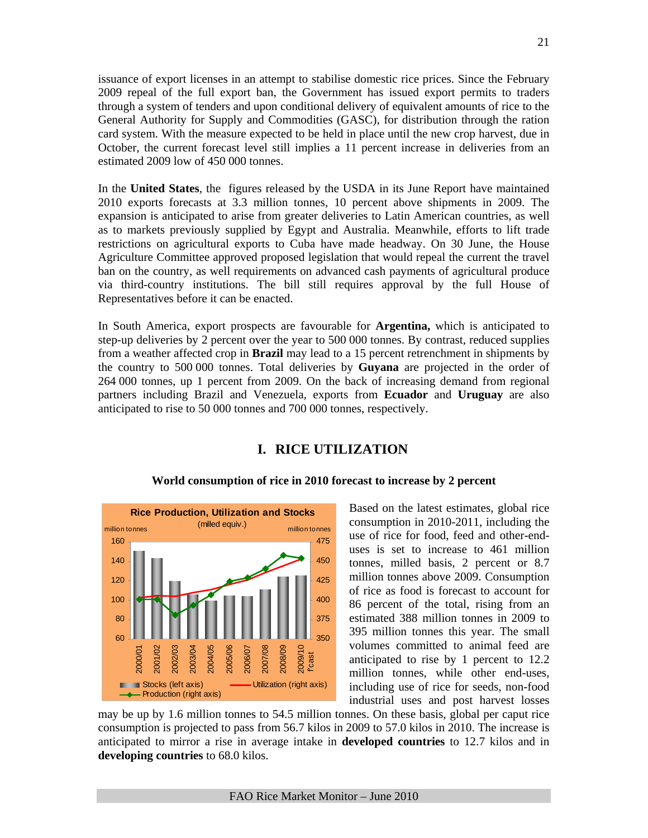issuance of export licenses in an attempt to stabilise domestic rice prices. Since the February 2009 repeal of the full export ban, the Government has issued export permits to traders through a system of tenders and upon conditional delivery of equivalent amounts of rice to the General Authority for Supply and Commodities (GASC), for distribution through the ration card system. With the measure expected to be held in place until the new crop harvest, due in October, the current forecast level still implies a 11 percent increase in deliveries from an estimated 2009 low of 450 000 tonnes.

In the **United States**, the figures released by the USDA in its June Report have maintained 2010 exports forecasts at 3.3 million tonnes, 10 percent above shipments in 2009. The expansion is anticipated to arise from greater deliveries to Latin American countries, as well as to markets previously supplied by Egypt and Australia. Meanwhile, efforts to lift trade restrictions on agricultural exports to Cuba have made headway. On 30 June, the House Agriculture Committee approved proposed legislation that would repeal the current the travel ban on the country, as well requirements on advanced cash payments of agricultural produce via third-country institutions. The bill still requires approval by the full House of Representatives before it can be enacted.

In South America, export prospects are favourable for **Argentina,** which is anticipated to step-up deliveries by 2 percent over the year to 500 000 tonnes. By contrast, reduced supplies from a weather affected crop in **Brazil** may lead to a 15 percent retrenchment in shipments by the country to 500 000 tonnes. Total deliveries by **Guyana** are projected in the order of 264 000 tonnes, up 1 percent from 2009. On the back of increasing demand from regional partners including Brazil and Venezuela, exports from **Ecuador** and **Uruguay** are also anticipated to rise to 50 000 tonnes and 700 000 tonnes, respectively.

# **I. RICE UTILIZATION**



#### **World consumption of rice in 2010 forecast to increase by 2 percent**

Based on the latest estimates, global rice consumption in 2010-2011, including the use of rice for food, feed and other-enduses is set to increase to 461 million tonnes, milled basis, 2 percent or 8.7 million tonnes above 2009. Consumption of rice as food is forecast to account for 86 percent of the total, rising from an estimated 388 million tonnes in 2009 to 395 million tonnes this year. The small volumes committed to animal feed are anticipated to rise by 1 percent to 12.2 million tonnes, while other end-uses, including use of rice for seeds, non-food industrial uses and post harvest losses

may be up by 1.6 million tonnes to 54.5 million tonnes. On these basis, global per caput rice consumption is projected to pass from 56.7 kilos in 2009 to 57.0 kilos in 2010. The increase is anticipated to mirror a rise in average intake in **developed countries** to 12.7 kilos and in **developing countries** to 68.0 kilos.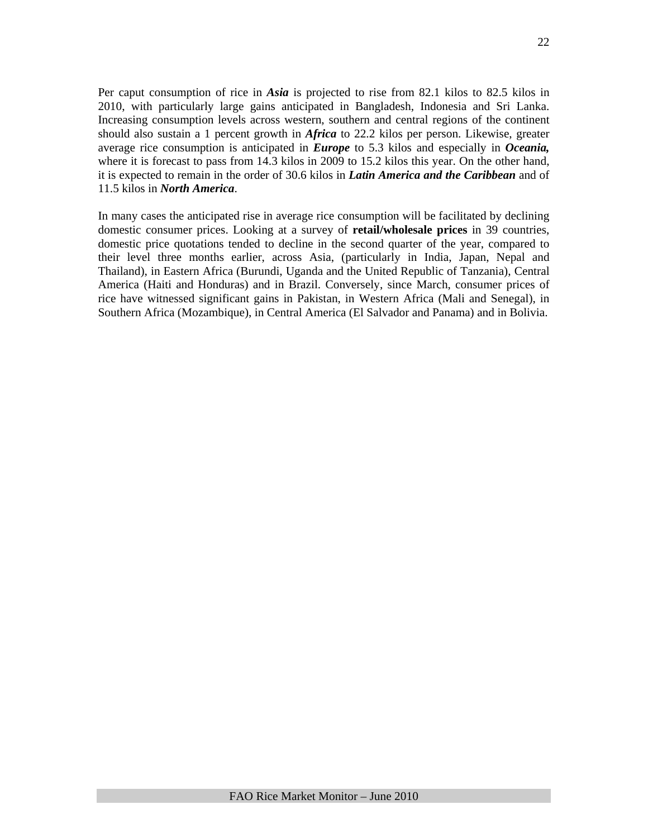Per caput consumption of rice in *Asia* is projected to rise from 82.1 kilos to 82.5 kilos in 2010, with particularly large gains anticipated in Bangladesh, Indonesia and Sri Lanka. Increasing consumption levels across western, southern and central regions of the continent should also sustain a 1 percent growth in *Africa* to 22.2 kilos per person. Likewise, greater average rice consumption is anticipated in *Europe* to 5.3 kilos and especially in *Oceania,*  where it is forecast to pass from 14.3 kilos in 2009 to 15.2 kilos this year. On the other hand, it is expected to remain in the order of 30.6 kilos in *Latin America and the Caribbean* and of 11.5 kilos in *North America*.

In many cases the anticipated rise in average rice consumption will be facilitated by declining domestic consumer prices. Looking at a survey of **retail/wholesale prices** in 39 countries, domestic price quotations tended to decline in the second quarter of the year, compared to their level three months earlier, across Asia, (particularly in India, Japan, Nepal and Thailand), in Eastern Africa (Burundi, Uganda and the United Republic of Tanzania), Central America (Haiti and Honduras) and in Brazil. Conversely, since March, consumer prices of rice have witnessed significant gains in Pakistan, in Western Africa (Mali and Senegal), in Southern Africa (Mozambique), in Central America (El Salvador and Panama) and in Bolivia.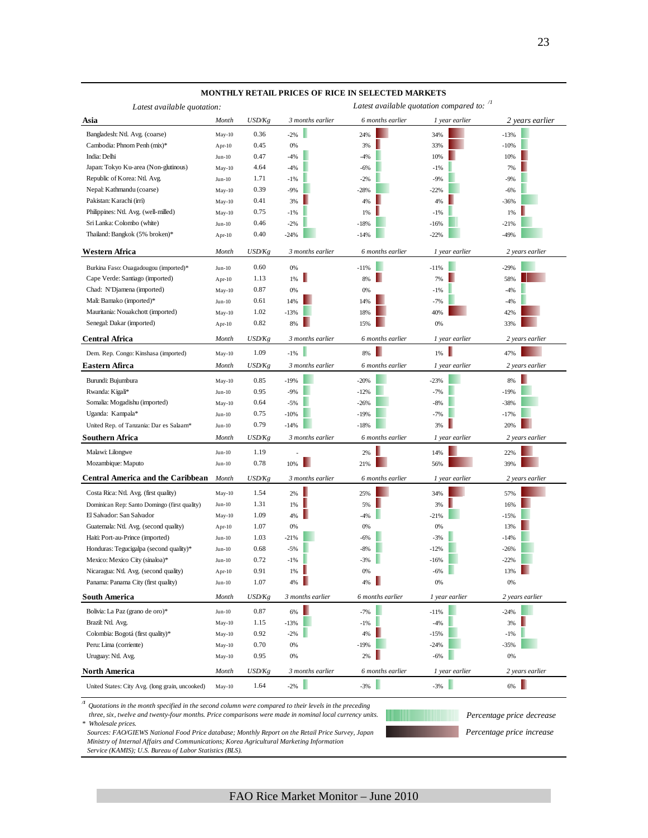| Latest available quotation:                                                                                                    |           |        |                  | Latest available quotation compared to: $\frac{1}{1}$ |                |                           |
|--------------------------------------------------------------------------------------------------------------------------------|-----------|--------|------------------|-------------------------------------------------------|----------------|---------------------------|
| Asia                                                                                                                           | Month     | USD/Kg | 3 months earlier | 6 months earlier                                      | 1 year earlier | 2 years earlier           |
| Bangladesh: Ntl. Avg. (coarse)                                                                                                 | $May-10$  | 0.36   | $-2%$            | 24%                                                   | 34%            | $-13%$                    |
| Cambodia: Phnom Penh (mix)*                                                                                                    | Apr-10    | 0.45   | 0%               | 3%                                                    | 33%            | $-10%$                    |
| India: Delhi                                                                                                                   | $Jun-10$  | 0.47   | $-4%$            | $-4%$                                                 | 10%            | 10%                       |
| Japan: Tokyo Ku-area (Non-glutinous)                                                                                           | May-10    | 4.64   | $-4%$            | $-6%$                                                 | $-1%$          | 7%                        |
| Republic of Korea: Ntl. Avg.                                                                                                   | $Jun-10$  | 1.71   | $-1%$            | $-2%$                                                 | $-9%$          | $-9%$                     |
| Nepal: Kathmandu (coarse)                                                                                                      | $May-10$  | 0.39   | $-9%$            | $-28%$                                                | $-22%$         | $-6%$                     |
| Pakistan: Karachi (irri)                                                                                                       | $May-10$  | 0.41   | 3%               | 4%                                                    | 4%             | $-36%$                    |
| Philippines: Ntl. Avg. (well-milled)                                                                                           | $May-10$  | 0.75   | $-1%$            | 1%                                                    | $-1%$          | 1%                        |
| Sri Lanka: Colombo (white)                                                                                                     | $Jun-10$  | 0.46   | $-2%$            | $-18%$                                                | $-16%$         | $-21%$                    |
| Thailand: Bangkok (5% broken)*                                                                                                 | $Apr-10$  | 0.40   | $-24%$           | $-14%$                                                | $-22%$         | $-49%$                    |
| Western Africa                                                                                                                 | Month     | USD/Kg | 3 months earlier | 6 months earlier                                      | 1 year earlier | 2 years earlier           |
| Burkina Faso: Ouagadougou (imported)*                                                                                          | $Jun-10$  | 0.60   | 0%               | $-11%$                                                | $-11%$         | $-29%$                    |
| Cape Verde: Santiago (imported)                                                                                                | Apr-10    | 1.13   | 1%               | 8%                                                    | 7%             | 58%                       |
| Chad: N'Djamena (imported)                                                                                                     | $May-10$  | 0.87   | 0%               | 0%                                                    | $-1%$          | $-4%$                     |
| Mali: Bamako (imported)*                                                                                                       | $Jun-10$  | 0.61   | 14%              | 14%                                                   | $-7%$          | $-4%$                     |
| Mauritania: Nouakchott (imported)                                                                                              | $May-10$  | 1.02   | $-13%$           | 18%                                                   | 40%            | 42%                       |
| Senegal: Dakar (imported)                                                                                                      | Apr- $10$ | 0.82   | 8%               | 15%                                                   | 0%             | 33%                       |
| <b>Central Africa</b>                                                                                                          | Month     | USD/Kg | 3 months earlier | 6 months earlier                                      | 1 year earlier | 2 years earlier           |
| Dem. Rep. Congo: Kinshasa (imported)                                                                                           | May-10    | 1.09   | $-1%$            | ш<br>8%                                               | ш<br>1%        | 47%                       |
| Eastern Afirca                                                                                                                 | Month     | USD/Kg | 3 months earlier | 6 months earlier                                      | 1 year earlier | 2 years earlier           |
| Burundi: Bujumbura                                                                                                             | May-10    | 0.85   | $-19%$           | $-20%$                                                | $-23%$         | 8%                        |
| Rwanda: Kigali*                                                                                                                | $Jun-10$  | 0.95   | $-9%$            | $-12%$                                                | $-7%$          | $-19%$                    |
| Somalia: Mogadishu (imported)                                                                                                  | $May-10$  | 0.64   | $-5%$            | $-26%$                                                | $-8%$          | $-38%$                    |
| Uganda: Kampala*                                                                                                               | $Jun-10$  | 0.75   | $-10%$           | $-19%$                                                | $-7%$          | $-17%$                    |
| United Rep. of Tanzania: Dar es Salaam*                                                                                        | $Jun-10$  | 0.79   | $-14%$           | $-18%$                                                | 3%             | 20%                       |
| Southern Africa                                                                                                                | Month     | USD/Kg | 3 months earlier | 6 months earlier                                      | 1 year earlier | 2 years earlier           |
| Malawi: Lilongwe                                                                                                               | $Jun-10$  | 1.19   |                  | 2%                                                    | 14%            | 22%                       |
| Mozambique: Maputo                                                                                                             | $Jun-10$  | 0.78   | 10%              | 21%                                                   | 56%            | 39%                       |
| <b>Central America and the Caribbean</b>                                                                                       | Month     | USD/Kg | 3 months earlier | 6 months earlier                                      | 1 year earlier | 2 years earlier           |
| Costa Rica: Ntl. Avg. (first quality)                                                                                          | May-10    | 1.54   | 2%               | 25%                                                   | 34%            | 57%                       |
| Dominican Rep: Santo Domingo (first quality)                                                                                   | $Jun-10$  | 1.31   | 1%               | 5%                                                    | 3%             | 16%                       |
| El Salvador: San Salvador                                                                                                      | May-10    | 1.09   | 4%               | $-4%$                                                 | $-21%$         | $-15%$                    |
| Guatemala: Ntl. Avg. (second quality)                                                                                          | Apr- $10$ | 1.07   | 0%               | 0%                                                    | 0%             | 13%                       |
| Haiti: Port-au-Prince (imported)                                                                                               | $Jun-10$  | 1.03   | $-21%$           | $-6%$                                                 | $-3%$          | $-14%$                    |
| Honduras: Tegucigalpa (second quality)*                                                                                        | $Jun-10$  | 0.68   | $-5%$            | $-8%$                                                 | $-12%$         | $-26%$                    |
| Mexico: Mexico City (sinaloa)*                                                                                                 | $Jun-10$  | 0.72   | $-1%$            | $-3%$                                                 | $-16%$         | $-22%$                    |
| Nicaragua: Ntl. Avg. (second quality)                                                                                          | $Apr-10$  | 0.91   | 1%               | 0%                                                    | $-6%$          | 13%                       |
| Panama: Panama City (first quality)                                                                                            | $Jun-10$  | 1.07   | 4%               | 4%                                                    | 0%             | 0%                        |
| South America                                                                                                                  | Month     | USD/Kg | 3 months earlier | 6 months earlier                                      | 1 year earlier | 2 years earlier           |
| Bolivia: La Paz (grano de oro)*                                                                                                | $Jun-10$  | 0.87   | 6%               | $-7%$                                                 | $-11%$         | $-24%$                    |
| Brazil: Ntl. Avg.                                                                                                              | May-10    | 1.15   | $-13%$           | $-1%$                                                 | $-4%$          | 3%                        |
| Colombia: Bogotá (first quality)*                                                                                              | May-10    | 0.92   | $-2%$            | 4%                                                    | $-15%$         | $-1%$                     |
| Peru: Lima (corriente)                                                                                                         | May-10    | 0.70   | 0%               | $-19%$                                                | $-24%$         | $-35%$                    |
| Uruguay: Ntl. Avg.                                                                                                             | May-10    | 0.95   | 0%               | 2%                                                    | $-6%$          | 0%                        |
| <b>North America</b>                                                                                                           | Month     | USD/Kg | 3 months earlier | 6 months earlier                                      | 1 year earlier | 2 years earlier           |
| United States: City Avg. (long grain, uncooked)                                                                                | $May-10$  | 1.64   | $-2%$            | п<br>$-3%$                                            | $-3%$          | 6%                        |
| $\pi$<br>Quotations in the month specified in the second column were compared to their levels in the preceding                 |           |        |                  |                                                       |                |                           |
| three, six, twelve and twenty-four months. Price comparisons were made in nominal local currency units.<br>* Wholesale prices. |           |        |                  |                                                       |                | Percentage price decrease |
| Sources: FAO/GIEWS National Food Price database; Monthly Report on the Retail Price Survey, Japan                              |           |        |                  |                                                       |                | Percentage price increase |

#### **MONTHLY RETAIL PRICES OF RICE IN SELECTED MARKETS**

 *Ministry of Internal Affairs and Communications; Korea Agricultural Marketing Information* 

 *Service (KAMIS); U.S. Bureau of Labor Statistics (BLS).*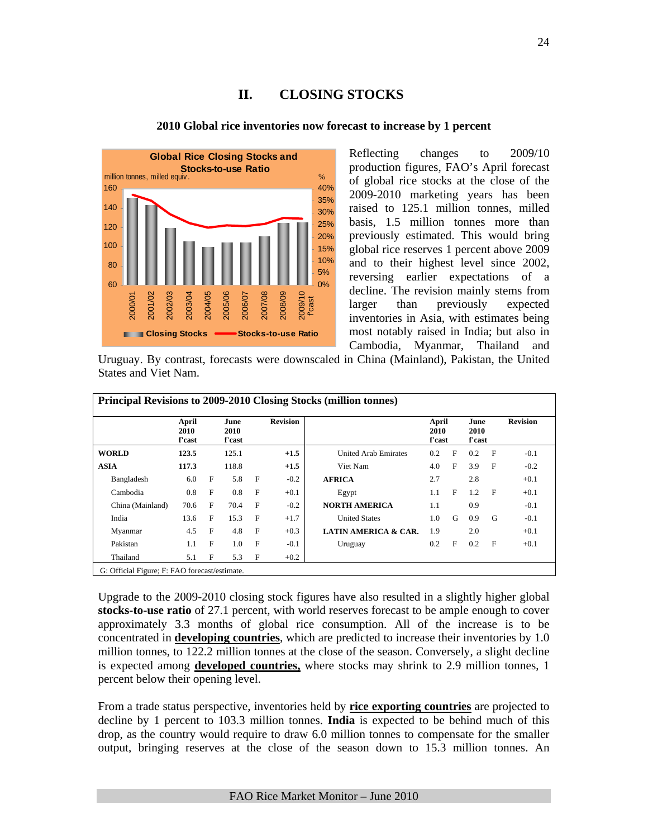# **II. CLOSING STOCKS**



#### **2010 Global rice inventories now forecast to increase by 1 percent**

Reflecting changes to 2009/10 production figures, FAO's April forecast of global rice stocks at the close of the 2009-2010 marketing years has been raised to 125.1 million tonnes, milled basis, 1.5 million tonnes more than previously estimated. This would bring global rice reserves 1 percent above 2009 and to their highest level since 2002, reversing earlier expectations of a decline. The revision mainly stems from larger than previously expected inventories in Asia, with estimates being most notably raised in India; but also in Cambodia, Myanmar, Thailand and

Uruguay. By contrast, forecasts were downscaled in China (Mainland), Pakistan, the United States and Viet Nam.

|                  | April<br>2010<br>f'cast |   | June<br>2010<br>f'cast |              | <b>Revision</b> |                                 | April<br>2010<br>f'cast |              | June<br>2010<br>f'cast |              | <b>Revision</b> |
|------------------|-------------------------|---|------------------------|--------------|-----------------|---------------------------------|-------------------------|--------------|------------------------|--------------|-----------------|
| <b>WORLD</b>     | 123.5                   |   | 125.1                  |              | $+1.5$          | <b>United Arab Emirates</b>     | 0.2                     | $\mathbf{F}$ | 0.2                    | $\mathbf{F}$ | $-0.1$          |
| <b>ASIA</b>      | 117.3                   |   | 118.8                  |              | $+1.5$          | Viet Nam                        | 4.0                     | $\mathbf{F}$ | 3.9                    | $\mathbf{F}$ | $-0.2$          |
| Bangladesh       | 6.0                     | F | 5.8                    | $\mathbf{F}$ | $-0.2$          | <b>AFRICA</b>                   | 2.7                     |              | 2.8                    |              | $+0.1$          |
| Cambodia         | 0.8                     | F | 0.8                    | $_{\rm F}$   | $+0.1$          | Egypt                           | 1.1                     | $\mathbf{F}$ | 1.2                    | $\mathbf{F}$ | $+0.1$          |
| China (Mainland) | 70.6                    | F | 70.4                   | $_{\rm F}$   | $-0.2$          | <b>NORTH AMERICA</b>            | 1.1                     |              | 0.9                    |              | $-0.1$          |
| India            | 13.6                    | F | 15.3                   | $_{\rm F}$   | $+1.7$          | <b>United States</b>            | 1.0                     | G            | 0.9                    | G            | $-0.1$          |
| Myanmar          | 4.5                     | F | 4.8                    | $\mathbf{F}$ | $+0.3$          | <b>LATIN AMERICA &amp; CAR.</b> | 1.9                     |              | 2.0                    |              | $+0.1$          |
| Pakistan         | 1.1                     | F | 1.0                    | F            | $-0.1$          | Uruguay                         | 0.2                     | F            | 0.2                    | F            | $+0.1$          |
| Thailand         | 5.1                     | F | 5.3                    | $\mathbf{F}$ | $+0.2$          |                                 |                         |              |                        |              |                 |

G: Official Figure; F: FAO forecast/estimate.

Upgrade to the 2009-2010 closing stock figures have also resulted in a slightly higher global **stocks-to-use ratio** of 27.1 percent, with world reserves forecast to be ample enough to cover approximately 3.3 months of global rice consumption. All of the increase is to be concentrated in **developing countries**, which are predicted to increase their inventories by 1.0 million tonnes, to 122.2 million tonnes at the close of the season. Conversely, a slight decline is expected among **developed countries,** where stocks may shrink to 2.9 million tonnes, 1 percent below their opening level.

From a trade status perspective, inventories held by **rice exporting countries** are projected to decline by 1 percent to 103.3 million tonnes. **India** is expected to be behind much of this drop, as the country would require to draw 6.0 million tonnes to compensate for the smaller output, bringing reserves at the close of the season down to 15.3 million tonnes. An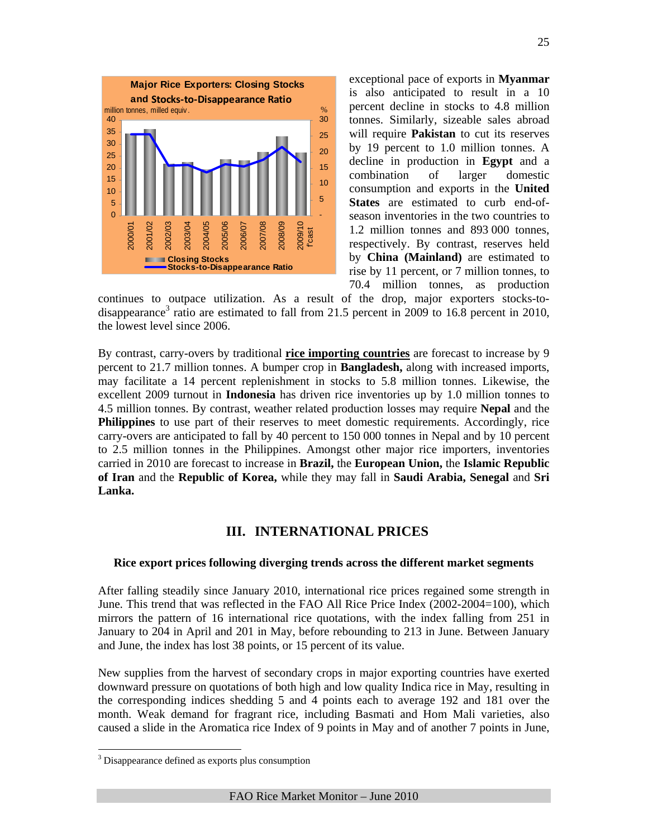

exceptional pace of exports in **Myanmar**  is also anticipated to result in a 10 percent decline in stocks to 4.8 million tonnes. Similarly, sizeable sales abroad will require **Pakistan** to cut its reserves by 19 percent to 1.0 million tonnes. A decline in production in **Egypt** and a combination of larger domestic consumption and exports in the **United States** are estimated to curb end-ofseason inventories in the two countries to 1.2 million tonnes and 893 000 tonnes, respectively. By contrast, reserves held by **China (Mainland)** are estimated to rise by 11 percent, or 7 million tonnes, to 70.4 million tonnes, as production

continues to outpace utilization. As a result of the drop, major exporters stocks-todisappearance<sup>3</sup> ratio are estimated to fall from 21.5 percent in 2009 to 16.8 percent in 2010, the lowest level since 2006.

By contrast, carry-overs by traditional **rice importing countries** are forecast to increase by 9 percent to 21.7 million tonnes. A bumper crop in **Bangladesh,** along with increased imports, may facilitate a 14 percent replenishment in stocks to 5.8 million tonnes. Likewise, the excellent 2009 turnout in **Indonesia** has driven rice inventories up by 1.0 million tonnes to 4.5 million tonnes. By contrast, weather related production losses may require **Nepal** and the **Philippines** to use part of their reserves to meet domestic requirements. Accordingly, rice carry-overs are anticipated to fall by 40 percent to 150 000 tonnes in Nepal and by 10 percent to 2.5 million tonnes in the Philippines. Amongst other major rice importers, inventories carried in 2010 are forecast to increase in **Brazil,** the **European Union,** the **Islamic Republic of Iran** and the **Republic of Korea,** while they may fall in **Saudi Arabia, Senegal** and **Sri Lanka.** 

## **III. INTERNATIONAL PRICES**

#### **Rice export prices following diverging trends across the different market segments**

After falling steadily since January 2010, international rice prices regained some strength in June. This trend that was reflected in the FAO All Rice Price Index (2002-2004=100), which mirrors the pattern of 16 international rice quotations, with the index falling from 251 in January to 204 in April and 201 in May, before rebounding to 213 in June. Between January and June, the index has lost 38 points, or 15 percent of its value.

New supplies from the harvest of secondary crops in major exporting countries have exerted downward pressure on quotations of both high and low quality Indica rice in May, resulting in the corresponding indices shedding 5 and 4 points each to average 192 and 181 over the month. Weak demand for fragrant rice, including Basmati and Hom Mali varieties, also caused a slide in the Aromatica rice Index of 9 points in May and of another 7 points in June,

 $\overline{a}$ 

<sup>&</sup>lt;sup>3</sup> Disappearance defined as exports plus consumption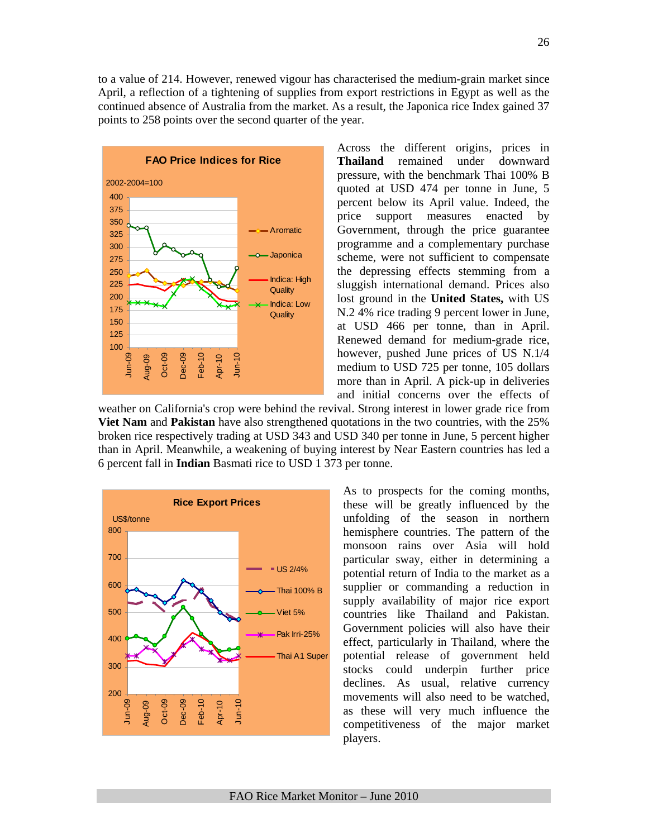to a value of 214. However, renewed vigour has characterised the medium-grain market since April, a reflection of a tightening of supplies from export restrictions in Egypt as well as the continued absence of Australia from the market. As a result, the Japonica rice Index gained 37 points to 258 points over the second quarter of the year.



Across the different origins, prices in **Thailand** remained under downward pressure, with the benchmark Thai 100% B quoted at USD 474 per tonne in June, 5 percent below its April value. Indeed, the price support measures enacted by Government, through the price guarantee programme and a complementary purchase scheme, were not sufficient to compensate the depressing effects stemming from a sluggish international demand. Prices also lost ground in the **United States,** with US N.2 4% rice trading 9 percent lower in June, at USD 466 per tonne, than in April. Renewed demand for medium-grade rice, however, pushed June prices of US N.1/4 medium to USD 725 per tonne, 105 dollars more than in April. A pick-up in deliveries and initial concerns over the effects of

weather on California's crop were behind the revival. Strong interest in lower grade rice from **Viet Nam** and **Pakistan** have also strengthened quotations in the two countries, with the 25% broken rice respectively trading at USD 343 and USD 340 per tonne in June, 5 percent higher than in April. Meanwhile, a weakening of buying interest by Near Eastern countries has led a 6 percent fall in **Indian** Basmati rice to USD 1 373 per tonne.



As to prospects for the coming months, these will be greatly influenced by the unfolding of the season in northern hemisphere countries. The pattern of the monsoon rains over Asia will hold particular sway, either in determining a potential return of India to the market as a supplier or commanding a reduction in supply availability of major rice export countries like Thailand and Pakistan. Government policies will also have their effect, particularly in Thailand, where the potential release of government held stocks could underpin further price declines. As usual, relative currency movements will also need to be watched, as these will very much influence the competitiveness of the major market players.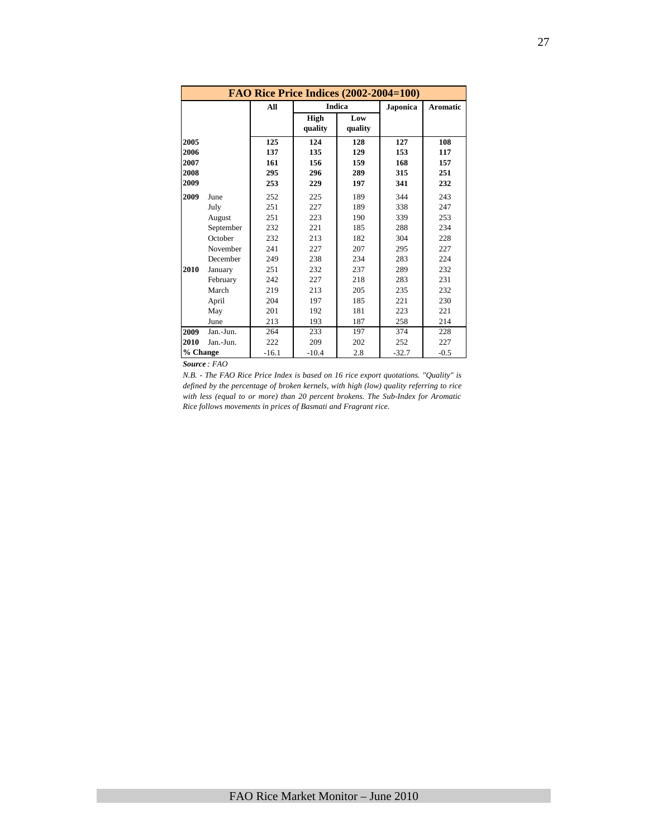|          |           |         | <b>FAO Rice Price Indices (2002-2004=100)</b> |                |          |                 |
|----------|-----------|---------|-----------------------------------------------|----------------|----------|-----------------|
|          |           | All     |                                               | <b>Indica</b>  | Japonica | <b>Aromatic</b> |
|          |           |         | High<br>quality                               | Low<br>quality |          |                 |
| 2005     |           | 125     | 124                                           | 128            | 127      | 108             |
| 2006     |           | 137     | 135                                           | 129            | 153      | 117             |
| 2007     |           | 161     | 156                                           | 159            | 168      | 157             |
| 2008     |           | 295     | 296                                           | 289            | 315      | 251             |
| 2009     |           | 253     | 229                                           | 197            | 341      | 232             |
| 2009     | June      | 252     | 225                                           | 189            | 344      | 243             |
|          | July      | 251     | 227                                           | 189            | 338      | 247             |
|          | August    | 251     | 223                                           | 190            | 339      | 253             |
|          | September | 232     | 221                                           | 185            | 288      | 234             |
|          | October   | 232     | 213                                           | 182            | 304      | 228             |
|          | November  | 241     | 227                                           | 207            | 295      | 227             |
|          | December  | 249     | 238                                           | 234            | 283      | 224             |
| 2010     | January   | 251     | 232                                           | 237            | 289      | 232             |
|          | February  | 242     | 227                                           | 218            | 283      | 231             |
|          | March     | 219     | 213                                           | 205            | 235      | 232             |
|          | April     | 204     | 197                                           | 185            | 221      | 230             |
|          | May       | 201     | 192                                           | 181            | 223      | 221             |
|          | June      | 213     | 193                                           | 187            | 258      | 214             |
| 2009     | Jan.-Jun. | 264     | 233                                           | 197            | 374      | 228             |
| 2010     | Jan.-Jun. | 222     | 209                                           | 202            | 252      | 227             |
| % Change |           | $-16.1$ | $-10.4$                                       | 2.8            | $-32.7$  | $-0.5$          |

*Source : FAO* 

*N.B. - The FAO Rice Price Index is based on 16 rice export quotations. "Quality" is defined by the percentage of broken kernels, with high (low) quality referring to rice with less (equal to or more) than 20 percent brokens. The Sub-Index for Aromatic Rice follows movements in prices of Basmati and Fragrant rice.*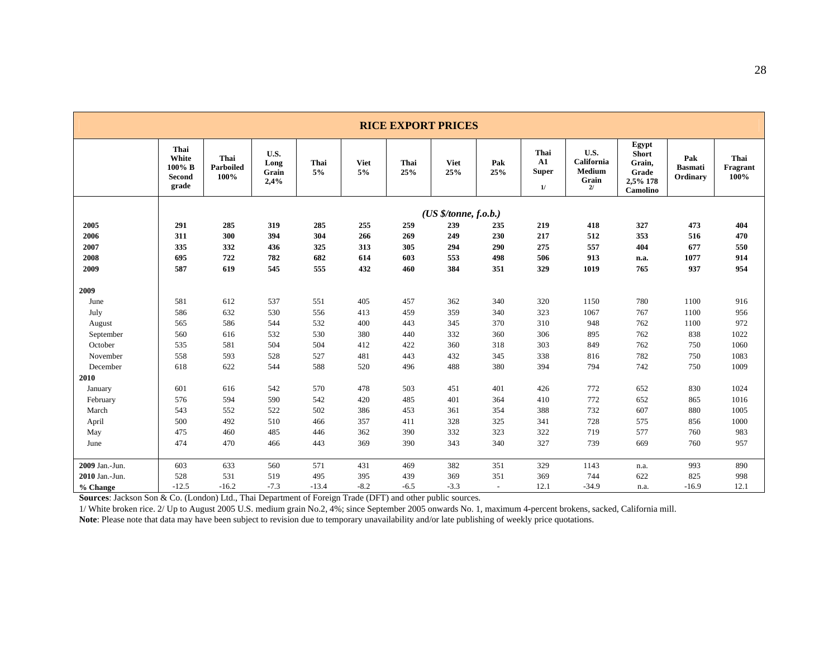|                |                                            |                           |                               |            |                   | <b>RICE EXPORT PRICES</b> |                          |                          |                                          |                                             |                                                                  |                                   |                          |
|----------------|--------------------------------------------|---------------------------|-------------------------------|------------|-------------------|---------------------------|--------------------------|--------------------------|------------------------------------------|---------------------------------------------|------------------------------------------------------------------|-----------------------------------|--------------------------|
|                | Thai<br>White<br>100% B<br>Second<br>grade | Thai<br>Parboiled<br>100% | U.S.<br>Long<br>Grain<br>2,4% | Thai<br>5% | <b>Viet</b><br>5% | Thai<br>25%               | <b>Viet</b><br>25%       | Pak<br>25%               | Thai<br>${\bf A1}$<br><b>Super</b><br>1/ | U.S.<br>California<br>Medium<br>Grain<br>2/ | Egypt<br><b>Short</b><br>Grain,<br>Grade<br>2,5% 178<br>Camolino | Pak<br><b>Basmati</b><br>Ordinary | Thai<br>Fragrant<br>100% |
|                |                                            |                           |                               |            |                   |                           | $(US \n$/tonne, f.o.b.)$ |                          |                                          |                                             |                                                                  |                                   |                          |
| 2005           | 291                                        | 285                       | 319                           | 285        | 255               | 259                       | 239                      | 235                      | 219                                      | 418                                         | 327                                                              | 473                               | 404                      |
| 2006           | 311                                        | 300                       | 394                           | 304        | 266               | 269                       | 249                      | 230                      | 217                                      | 512                                         | 353                                                              | 516                               | 470                      |
| 2007           | 335                                        | 332                       | 436                           | 325        | 313               | 305                       | 294                      | 290                      | 275                                      | 557                                         | 404                                                              | 677                               | 550                      |
| 2008           | 695                                        | 722                       | 782                           | 682        | 614               | 603                       | 553                      | 498                      | 506                                      | 913                                         | n.a.                                                             | 1077                              | 914                      |
| 2009           | 587                                        | 619                       | 545                           | 555        | 432               | 460                       | 384                      | 351                      | 329                                      | 1019                                        | 765                                                              | 937                               | 954                      |
| 2009           |                                            |                           |                               |            |                   |                           |                          |                          |                                          |                                             |                                                                  |                                   |                          |
| June           | 581                                        | 612                       | 537                           | 551        | 405               | 457                       | 362                      | 340                      | 320                                      | 1150                                        | 780                                                              | 1100                              | 916                      |
| July           | 586                                        | 632                       | 530                           | 556        | 413               | 459                       | 359                      | 340                      | 323                                      | 1067                                        | 767                                                              | 1100                              | 956                      |
| August         | 565                                        | 586                       | 544                           | 532        | 400               | 443                       | 345                      | 370                      | 310                                      | 948                                         | 762                                                              | 1100                              | 972                      |
| September      | 560                                        | 616                       | 532                           | 530        | 380               | 440                       | 332                      | 360                      | 306                                      | 895                                         | 762                                                              | 838                               | 1022                     |
| October        | 535                                        | 581                       | 504                           | 504        | 412               | 422                       | 360                      | 318                      | 303                                      | 849                                         | 762                                                              | 750                               | 1060                     |
| November       | 558                                        | 593                       | 528                           | 527        | 481               | 443                       | 432                      | 345                      | 338                                      | 816                                         | 782                                                              | 750                               | 1083                     |
| December       | 618                                        | 622                       | 544                           | 588        | 520               | 496                       | 488                      | 380                      | 394                                      | 794                                         | 742                                                              | 750                               | 1009                     |
| 2010           |                                            |                           |                               |            |                   |                           |                          |                          |                                          |                                             |                                                                  |                                   |                          |
| January        | 601                                        | 616                       | 542                           | 570        | 478               | 503                       | 451                      | 401                      | 426                                      | 772                                         | 652                                                              | 830                               | 1024                     |
| February       | 576                                        | 594                       | 590                           | 542        | 420               | 485                       | 401                      | 364                      | 410                                      | 772                                         | 652                                                              | 865                               | 1016                     |
| March          | 543                                        | 552                       | 522                           | 502        | 386               | 453                       | 361                      | 354                      | 388                                      | 732                                         | 607                                                              | 880                               | 1005                     |
| April          | 500                                        | 492                       | 510                           | 466        | 357               | 411                       | 328                      | 325                      | 341                                      | 728                                         | 575                                                              | 856                               | 1000                     |
| May            | 475                                        | 460                       | 485                           | 446        | 362               | 390                       | 332                      | 323                      | 322                                      | 719                                         | 577                                                              | 760                               | 983                      |
| June           | 474                                        | 470                       | 466                           | 443        | 369               | 390                       | 343                      | 340                      | 327                                      | 739                                         | 669                                                              | 760                               | 957                      |
| 2009 Jan.-Jun. | 603                                        | 633                       | 560                           | 571        | 431               | 469                       | 382                      | 351                      | 329                                      | 1143                                        | n.a.                                                             | 993                               | 890                      |
| 2010 Jan.-Jun. | 528                                        | 531                       | 519                           | 495        | 395               | 439                       | 369                      | 351                      | 369                                      | 744                                         | 622                                                              | 825                               | 998                      |
| % Change       | $-12.5$                                    | $-16.2$                   | $-7.3$                        | $-13.4$    | $-8.2$            | $-6.5$                    | $-3.3$                   | $\overline{\phantom{a}}$ | 12.1                                     | $-34.9$                                     | n.a.                                                             | $-16.9$                           | 12.1                     |

**Sources**: Jackson Son & Co. (London) Ltd., Thai Department of Foreign Trade (DFT) and other public sources.

1/ White broken rice. 2/ Up to August 2005 U.S. medium grain No.2, 4%; since September 2005 onwards No. 1, maximum 4-percent brokens, sacked, California mill. **Note**: Please note that data may have been subject to revision due to temporary unavailability and/or late publishing of weekly price quotations.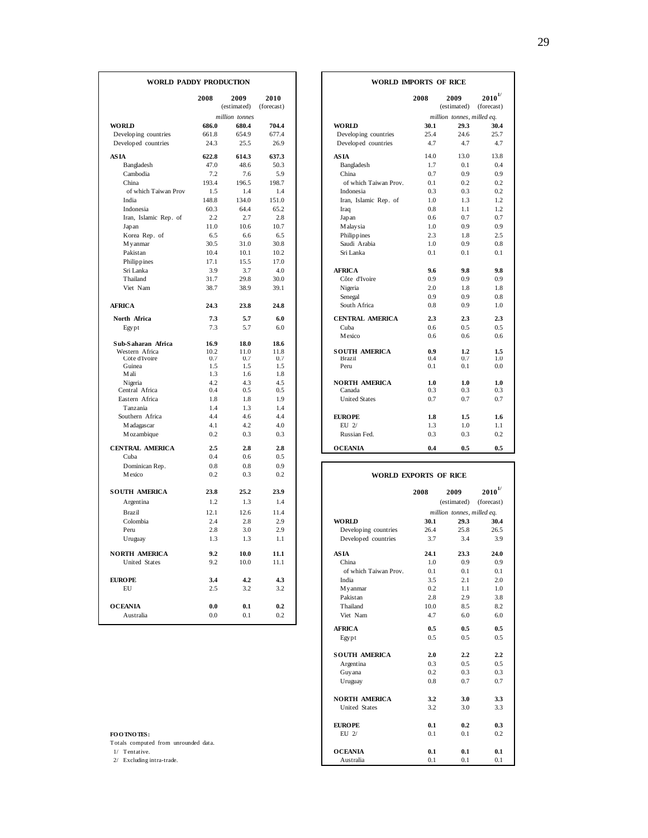| WORLD PADDY PRODUCTION    |               |                     |                    | WORLD IMPORTS OF RICE                                      |                           |
|---------------------------|---------------|---------------------|--------------------|------------------------------------------------------------|---------------------------|
|                           | 2008          | 2009<br>(estimated) | 2010<br>(forecast) | 2008<br>2009<br>(estimated)                                | $2010^{1/}$<br>(forecast) |
|                           |               | million tonnes      |                    | million tonnes, milled eq.                                 |                           |
| <b>WORLD</b>              | 686.0         | 680.4               | 704.4              | <b>WORLD</b><br>30.1<br>29.3                               | 30.4                      |
| Developing countries      | 661.8         | 654.9               | 677.4              | 25.4<br>Developing countries<br>24.6                       | 25.7                      |
| Developed countries       | 24.3          | 25.5                | 26.9               | Developed countries<br>4.7<br>4.7                          | 4.7                       |
|                           |               |                     |                    |                                                            |                           |
| <b>ASIA</b><br>Bangladesh | 622.8<br>47.0 | 614.3<br>48.6       | 637.3<br>50.3      | 14.0<br>13.0<br>AS IA<br>1.7<br>0.1                        | 13.8<br>0.4               |
| Cambodia                  | 7.2           | 7.6                 | 5.9                | Bangladesh<br>China<br>0.7<br>0.9                          | 0.9                       |
| China                     | 193.4         | 196.5               | 198.7              | of which Taiwan Prov.<br>0.1<br>0.2                        | 0.2                       |
| of which Taiwan Prov      | 1.5           | 1.4                 | 1.4                | 0.3<br>0.3<br>Indonesia                                    | 0.2                       |
| India                     | 148.8         | 134.0               | 151.0              | Iran, Islamic Rep. of<br>1.0<br>1.3                        | 1.2                       |
| Indonesia                 | 60.3          | 64.4                | 65.2               | 0.8<br>1.1<br>Iraq                                         | 1.2                       |
| Iran, Islamic Rep. of     | 2.2           | 2.7                 | 2.8                | 0.6<br>0.7<br>Japan                                        | 0.7                       |
| Japan                     | 11.0          | 10.6                | 10.7               | 1.0<br>0.9<br>M alay sia                                   | 0.9                       |
| Korea Rep. of             | 6.5           | 6.6                 | 6.5                | 2.3<br>Philippines<br>1.8                                  | 2.5                       |
| M yanmar                  | 30.5          | 31.0                | 30.8               | Saudi Arabia<br>1.0<br>0.9                                 | 0.8                       |
| Pakistan                  | 10.4          | 10.1                | 10.2               | Sri Lanka<br>0.1<br>0.1                                    | 0.1                       |
| Philippines               | 17.1          | 15.5                | 17.0               |                                                            |                           |
| Sri Lanka                 | 3.9           | 3.7                 | 4.0                | 9.8<br><b>AFRICA</b><br>9.6                                | 9.8                       |
| Thailand                  | 31.7          | 29.8                | 30.0               | Côte d'Ivoire<br>0.9<br>0.9                                | 0.9                       |
| Viet Nam                  | 38.7          | 38.9                | 39.1               | Nigeria<br>2.0<br>1.8                                      | 1.8                       |
|                           |               |                     |                    | 0.9<br>0.9<br>Senegal                                      | 0.8                       |
| <b>AFRICA</b>             | 24.3          | 23.8                | 24.8               | South Africa<br>0.8<br>0.9                                 | 1.0                       |
|                           | 7.3           | 5.7                 | 6.0                | <b>CENTRAL AMERICA</b><br>2.3<br>2.3                       | 2.3                       |
| North Africa              | 7.3           | 5.7                 | 6.0                | Cuba<br>0.6<br>0.5                                         | 0.5                       |
| Egypt                     |               |                     |                    | Mexico<br>0.6<br>0.6                                       | 0.6                       |
| Sub-Saharan Africa        | 16.9          | 18.0                | 18.6               |                                                            |                           |
| Western Africa            | 10.2          | 11.0                | 11.8               | 0.9<br><b>SOUTH AMERICA</b><br>1.2                         | 1.5                       |
| Côte d'Ivoire             | 0.7           | 0.7                 | 0.7                | 0.4<br>0.7<br><b>Brazil</b>                                | 1.0                       |
| Guinea                    | 1.5           | 1.5                 | 1.5                | 0.1<br>Peru<br>0.1                                         | 0.0                       |
| M ali                     | 1.3<br>4.2    | 1.6                 | 1.8                |                                                            |                           |
| Nigeria<br>Central Africa | 0.4           | 4.3<br>0.5          | 4.5<br>0.5         | <b>NORTH AMERICA</b><br>1.0<br>1.0<br>Canada<br>0.3<br>0.3 | 1.0<br>0.3                |
| Eastern Africa            | 1.8           | 1.8                 | 1.9                | <b>United States</b><br>0.7<br>0.7                         | 0.7                       |
| Tanzania                  | 1.4           | 1.3                 | 1.4                |                                                            |                           |
| Southern Africa           | 4.4           | 4.6                 | 4.4                | <b>EUROPE</b><br>1.8<br>1.5                                | 1.6                       |
| M adagascar               | 4.1           | 4.2                 | 4.0                | EU $2/$<br>1.3<br>1.0                                      | 1.1                       |
| M ozambique               | 0.2           | 0.3                 | 0.3                | 0.3<br>Russian Fed.<br>0.3                                 | 0.2                       |
|                           |               |                     |                    |                                                            |                           |
| <b>CENTRAL AMERICA</b>    | 2.5           | 2.8                 | 2.8                | <b>OCEANIA</b><br>0.4<br>0.5                               | 0.5                       |
| Cuba                      | 0.4           | 0.6                 | 0.5                |                                                            |                           |
| Dominican Rep.            | 0.8           | 0.8                 | 0.9                |                                                            |                           |
| Mexico                    | 0.2           | 0.3                 | 0.2                | <b>WORLD EXPORTS OF RICE</b>                               |                           |
| <b>SOUTH AMERICA</b>      | 23.8          | 25.2                | 23.9               | 2008<br>2009                                               | $\boldsymbol{2010}^{1/}$  |
| Argentina                 | 1.2           | 1.3                 | 1.4                | (estimated)                                                | (forecast)                |
| Brazil                    | 12.1          | 12.6                | 11.4               |                                                            |                           |
|                           | 2.4           | 2.8                 | 2.9                | million tonnes, milled eq.<br><b>WORLD</b><br>30.1<br>29.3 | 30.4                      |
| Colombia                  | 2.8           | 3.0                 | 2.9                | 26.4<br>25.8                                               |                           |
| Peru                      | 1.3           | 1.3                 | 1.1                | Developing countries                                       | 26.5<br>3.9               |
| Uruguay                   |               |                     |                    | Developed countries<br>3.7<br>3.4                          |                           |
| <b>NORTH AMERICA</b>      | 9.2           | 10.0                | 11.1               | <b>ASIA</b><br>24.1<br>23.3                                | 24.0                      |
| United States             | 9.2           | 10.0                | 11.1               | 1.0<br>0.9<br>China                                        | 0.9                       |
|                           |               |                     |                    | 0.1<br>of which Taiwan Prov.<br>0.1                        | 0.1                       |
| <b>EUROPE</b>             | 3.4           | 4.2                 | 4.3                | 3.5<br>2.1<br>India                                        | 2.0                       |
| EU                        | 2.5           | 3.2                 | 3.2                | 0.2<br>1.1<br>M y anmar                                    | 1.0                       |
|                           |               |                     |                    | Pakistan<br>2.8<br>2.9                                     | 3.8                       |
| <b>OCEANIA</b>            | 0.0           | 0.1                 | 0.2                | Thailand<br>10.0<br>8.5                                    | 8.2                       |
| Australia                 | 0.0           | 0.1                 | 0.2                | 4.7<br>Viet Nam<br>6.0                                     | 6.0                       |

|  |  | <b>FOOTNOTES</b> |
|--|--|------------------|
|--|--|------------------|

|                | DY PRODUCTION       |                    |                                | WORLD INFORTS OF RICE |                            |                           |
|----------------|---------------------|--------------------|--------------------------------|-----------------------|----------------------------|---------------------------|
| 2008           | 2009<br>(estimated) | 2010<br>(forecast) |                                | 2008                  | 2009<br>(estimated)        | $2010^{1/}$<br>(forecast) |
|                | million tonnes      |                    |                                |                       | million tonnes, milled eq. |                           |
| 686.0          | 680.4               | 704.4              | <b>WORLD</b>                   | 30.1                  | 29.3                       | 30.4                      |
| 661.8          | 654.9               | 677.4              | Developing countries           | 25.4                  | 24.6                       | 25.7                      |
| 24.3           | 25.5                | 26.9               | Developed countries            | 4.7                   | 4.7                        | 4.7                       |
| 622.8          | 614.3               | 637.3              | <b>ASIA</b>                    | 14.0                  | 13.0                       | 13.8                      |
| 47.0           | 48.6                | 50.3               | Bangladesh                     | 1.7                   | 0.1                        | 0.4                       |
| 7.2            | 7.6                 | 5.9                | China                          | 0.7                   | 0.9                        | 0.9                       |
| 193.4          | 196.5               | 198.7              | of which Taiwan Prov.          | 0.1                   | 0.2                        | 0.2                       |
| 1.5            | 1.4                 | 1.4                | Indonesia                      | 0.3                   | 0.3                        | 0.2                       |
| 148.8          | 134.0               | 151.0              | Iran, Islamic Rep. of          | 1.0                   | 1.3                        | 1.2                       |
| 60.3           | 64.4                | 65.2               | Iraq                           | 0.8                   | 1.1                        | 1.2                       |
| 2.2            | 2.7                 | 2.8                | Japan                          | 0.6                   | 0.7                        | 0.7                       |
| 11.0           | 10.6                | 10.7               | M alay sia                     | 1.0                   | 0.9                        | 0.9                       |
| 6.5            | 6.6                 | 6.5                | Philippines                    | 2.3                   | 1.8                        | 2.5                       |
| 30.5           | 31.0                | 30.8               | Saudi Arabia                   | 1.0                   | 0.9                        | 0.8                       |
| 10.4           | 10.1                | 10.2               | Sri Lanka                      | 0.1                   | 0.1                        | 0.1                       |
| 17.1           | 15.5                | 17.0               |                                |                       |                            |                           |
| 3.9            | 3.7                 | 4.0                | <b>AFRICA</b>                  | 9.6                   | 9.8                        | 9.8                       |
| 31.7           | 29.8                | 30.0               | Côte d'Ivoire                  | 0.9                   | 0.9                        | 0.9                       |
| 38.7           | 38.9                | 39.1               | Nigeria                        | 2.0                   | 1.8                        | 1.8                       |
|                |                     |                    | Senegal                        | 0.9                   | 0.9                        | 0.8                       |
| 24.3           | 23.8                | 24.8               | South Africa                   | 0.8                   | 0.9                        | 1.0                       |
| 7.3            | 5.7                 | 6.0                | <b>CENTRAL AMERICA</b>         | 2.3                   | 2.3                        | 2.3                       |
| 7.3            | 5.7                 | 6.0                | Cuba                           | 0.6                   | 0.5                        | 0.5                       |
|                |                     |                    | <b>M</b> exico                 | 0.6                   | 0.6                        | 0.6                       |
| 16.9           | 18.0                | 18.6               |                                |                       |                            |                           |
| 10.2           | 11.0                | 11.8               | <b>SOUTH AMERICA</b>           | 0.9                   | 1.2                        | 1.5                       |
| 0.7            | 0.7                 | 0.7                | <b>Brazil</b>                  | 0.4                   | 0.7                        | 1.0                       |
| 1.5            | 1.5                 | 1.5                | Peru                           | 0.1                   | 0.1                        | 0.0                       |
| 1.3            | 1.6                 | 1.8                |                                |                       |                            |                           |
| 4.2<br>0.4     | 4.3<br>0.5          | 4.5<br>0.5         | <b>NORTH AMERICA</b><br>Canada | 1.0<br>0.3            | 1.0<br>0.3                 | 1.0<br>0.3                |
| 1.8            | 1.8                 | 1.9                | <b>United States</b>           | 0.7                   | 0.7                        | 0.7                       |
| 1.4            | 1.3                 | 1.4                |                                |                       |                            |                           |
| 4.4            |                     | 4.4                |                                |                       |                            |                           |
|                | 4.6                 |                    | <b>EUROPE</b>                  | 1.8                   | $1.5\,$                    | 1.6                       |
| 4.1            | 4.2                 | 4.0                | EU $2/$                        | 1.3                   | 1.0                        | 1.1                       |
| 0.2            | 0.3                 | 0.3                | Russian Fed.                   | 0.3                   | 0.3                        | 0.2                       |
| 2.5            | 2.8                 | 2.8                | <b>OCEANIA</b>                 | 0.4                   | 0.5                        | 0.5                       |
| 0 <sub>A</sub> | 06                  | 05                 |                                |                       |                            |                           |

| Mexico                               | 0.2  | 0.3  | 0.2  |                       | <b>WORLD EXPORTS OF RICE</b> |                            |              |  |
|--------------------------------------|------|------|------|-----------------------|------------------------------|----------------------------|--------------|--|
| <b>SOUTH AMERICA</b>                 | 23.8 | 25.2 | 23.9 |                       | 2008                         | 2009                       | $2010^{1/2}$ |  |
| Argentina                            | 1.2  | 1.3  | 1.4  |                       |                              | (estimated)                | (forecast)   |  |
| Brazil                               | 12.1 | 12.6 | 11.4 |                       |                              | million tonnes, milled eq. |              |  |
| Colombia                             | 2.4  | 2.8  | 2.9  | <b>WORLD</b>          | 30.1                         | 29.3                       | 30.4         |  |
| Peru                                 | 2.8  | 3.0  | 2.9  | Developing countries  | 26.4                         | 25.8                       | 26.5         |  |
| Uruguay                              | 1.3  | 1.3  | 1.1  | Developed countries   | 3.7                          | 3.4                        |              |  |
| NORTH AMERICA                        | 9.2  | 10.0 | 11.1 | <b>ASIA</b>           | 24.1                         | 23.3                       | 24.0         |  |
| <b>United States</b>                 | 9.2  | 10.0 | 11.1 | China                 | 1.0                          | 0.9                        |              |  |
|                                      |      |      |      | of which Taiwan Prov. | 0.1                          | 0.1                        |              |  |
| <b>EURO PE</b>                       | 3.4  | 4.2  | 4.3  | India                 | 3.5                          | 2.1                        |              |  |
| EU                                   | 2.5  | 3.2  | 3.2  | M y anmar             | 0.2                          | 1.1                        |              |  |
|                                      |      |      |      | Pakistan              | 2.8                          | 2.9                        |              |  |
| <b>OCEANIA</b>                       | 0.0  | 0.1  | 0.2  | Thailand              | 10.0                         | 8.5                        |              |  |
| Australia                            | 0.0  | 0.1  | 0.2  | Viet Nam              | 4.7                          | 6.0                        |              |  |
|                                      |      |      |      | <b>AFRICA</b>         | 0.5                          | 0.5                        |              |  |
|                                      |      |      |      | Egypt                 | 0.5                          | 0.5                        |              |  |
|                                      |      |      |      | <b>SOUTH AMERICA</b>  | 2.0                          | 2.2                        |              |  |
|                                      |      |      |      | Argentina             | 0.3                          | 0.5                        |              |  |
|                                      |      |      |      | Guyana                | 0.2                          | 0.3                        |              |  |
|                                      |      |      |      | Uruguay               | 0.8                          | 0.7                        |              |  |
|                                      |      |      |      | <b>NORTH AMERICA</b>  | 3.2                          | 3.0                        |              |  |
|                                      |      |      |      | <b>United States</b>  | 3.2                          | 3.0                        |              |  |
|                                      |      |      |      | <b>EUROPE</b>         | 0.1                          | 0.2                        |              |  |
| FOO TNO TES:                         |      |      |      | $EU$ $2/$             | 0.1                          | 0.1                        |              |  |
| Totals computed from unrounded data. |      |      |      |                       |                              |                            |              |  |
| 1/ Tentative.                        |      |      |      | <b>OCEANIA</b>        | 0.1                          | 0.1                        |              |  |
| 2/ Excluding intra-trade.            |      |      |      | Australia             | 0.1                          | 0.1                        |              |  |

#### **WORLD BMORTS OF RICE**